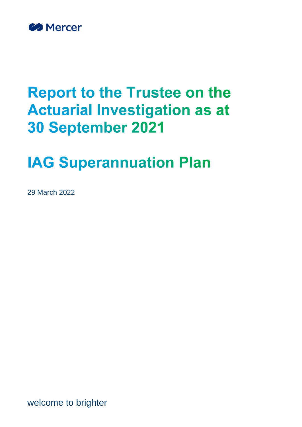

# **Report to the Trustee on the Actuarial Investigation as at 30 September 2021**

# **IAG Superannuation Plan**

29 March 2022

welcome to brighter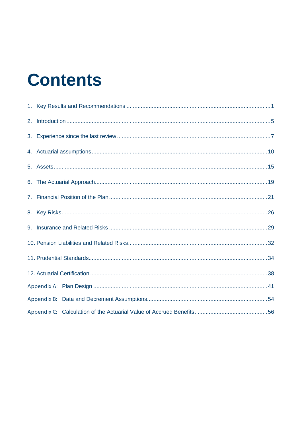# **Contents**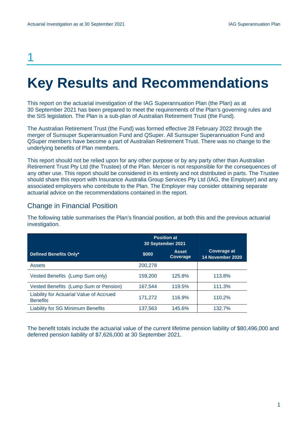## 1

# <span id="page-2-0"></span>**Key Results and Recommendations**

This report on the actuarial investigation of the IAG Superannuation Plan (the Plan) as at 30 September 2021 has been prepared to meet the requirements of the Plan's governing rules and the SIS legislation. The Plan is a sub-plan of Australian Retirement Trust (the Fund).

The Australian Retirement Trust (the Fund) was formed effective 28 February 2022 through the merger of Sunsuper Superannuation Fund and QSuper. All Sunsuper Superannuation Fund and QSuper members have become a part of Australian Retirement Trust. There was no change to the underlying benefits of Plan members.

This report should not be relied upon for any other purpose or by any party other than Australian Retirement Trust Pty Ltd (the Trustee) of the Plan. Mercer is not responsible for the consequences of any other use. This report should be considered in its entirety and not distributed in parts. The Trustee should share this report with Insurance Australia Group Services Pty Ltd (IAG, the Employer) and any associated employers who contribute to the Plan. The Employer may consider obtaining separate actuarial advice on the recommendations contained in the report.

## Change in Financial Position

The following table summarises the Plan's financial position, at both this and the previous actuarial investigation.

|                                                             | <b>Position at</b><br>30 September 2021 |                                 |                                        |
|-------------------------------------------------------------|-----------------------------------------|---------------------------------|----------------------------------------|
| Defined Benefits Only*                                      | \$000                                   | <b>Asset</b><br><b>Coverage</b> | <b>Coverage at</b><br>14 November 2020 |
| <b>Assets</b>                                               | 200,278                                 |                                 |                                        |
| Vested Benefits (Lump Sum only)                             | 159,200                                 | 125.8%                          | 113.8%                                 |
| Vested Benefits (Lump Sum or Pension)                       | 167,544                                 | 119.5%                          | 111.3%                                 |
| Liability for Actuarial Value of Accrued<br><b>Benefits</b> | 171,272                                 | 116.9%                          | 110.2%                                 |
| <b>Liability for SG Minimum Benefits</b>                    | 137,563                                 | 145.6%                          | 132.7%                                 |

The benefit totals include the actuarial value of the current lifetime pension liability of \$80,496,000 and deferred pension liability of \$7,626,000 at 30 September 2021.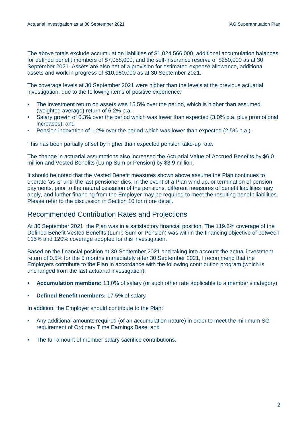The above totals exclude accumulation liabilities of \$1,024,566,000, additional accumulation balances for defined benefit members of \$7,058,000, and the self-insurance reserve of \$250,000 as at 30 September 2021. Assets are also net of a provision for estimated expense allowance, additional assets and work in progress of \$10,950,000 as at 30 September 2021.

The coverage levels at 30 September 2021 were higher than the levels at the previous actuarial investigation, due to the following items of positive experience:

- The investment return on assets was 15.5% over the period, which is higher than assumed (weighted average) return of 6.2% p.a. ;
- Salary growth of 0.3% over the period which was lower than expected (3.0% p.a. plus promotional increases); and
- Pension indexation of 1.2% over the period which was lower than expected (2.5% p.a.).

This has been partially offset by higher than expected pension take-up rate.

The change in actuarial assumptions also increased the Actuarial Value of Accrued Benefits by \$6.0 million and Vested Benefits (Lump Sum or Pension) by \$3.9 million.

It should be noted that the Vested Benefit measures shown above assume the Plan continues to operate 'as is' until the last pensioner dies. In the event of a Plan wind up, or termination of pension payments, prior to the natural cessation of the pensions, different measures of benefit liabilities may apply, and further financing from the Employer may be required to meet the resulting benefit liabilities. Please refer to the discussion in Section 10 for more detail.

#### Recommended Contribution Rates and Projections

At 30 September 2021, the Plan was in a satisfactory financial position. The 119.5% coverage of the Defined Benefit Vested Benefits (Lump Sum or Pension) was within the financing objective of between 115% and 120% coverage adopted for this investigation.

Based on the financial position at 30 September 2021 and taking into account the actual investment return of 0.5% for the 5 months immediately after 30 September 2021, I recommend that the Employers contribute to the Plan in accordance with the following contribution program (which is unchanged from the last actuarial investigation):

- **Accumulation members:** 13.0% of salary (or such other rate applicable to a member's category)
- **Defined Benefit members:** 17.5% of salary

In addition, the Employer should contribute to the Plan:

- Any additional amounts required (of an accumulation nature) in order to meet the minimum SG requirement of Ordinary Time Earnings Base; and
- The full amount of member salary sacrifice contributions.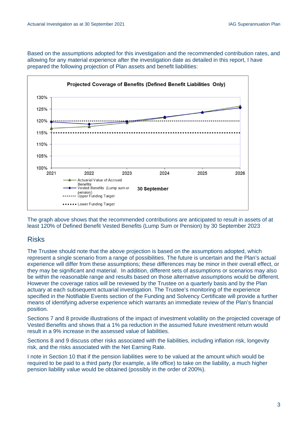Based on the assumptions adopted for this investigation and the recommended contribution rates, and allowing for any material experience after the investigation date as detailed in this report, I have prepared the following projection of Plan assets and benefit liabilities:



The graph above shows that the recommended contributions are anticipated to result in assets of at least 120% of Defined Benefit Vested Benefits (Lump Sum or Pension) by 30 September 2023

## Risks

The Trustee should note that the above projection is based on the assumptions adopted, which represent a single scenario from a range of possibilities. The future is uncertain and the Plan's actual experience will differ from these assumptions; these differences may be minor in their overall effect, or they may be significant and material. In addition, different sets of assumptions or scenarios may also be within the reasonable range and results based on those alternative assumptions would be different. However the coverage ratios will be reviewed by the Trustee on a quarterly basis and by the Plan actuary at each subsequent actuarial investigation. The Trustee's monitoring of the experience specified in the Notifiable Events section of the Funding and Solvency Certificate will provide a further means of identifying adverse experience which warrants an immediate review of the Plan's financial position*.*

Sections 7 and 8 provide illustrations of the impact of investment volatility on the projected coverage of Vested Benefits and shows that a 1% pa reduction in the assumed future investment return would result in a 9% increase in the assessed value of liabilities.

Sections 8 and 9 discuss other risks associated with the liabilities, including inflation risk, longevity risk, and the risks associated with the Net Earning Rate.

I note in Section 10 that if the pension liabilities were to be valued at the amount which would be required to be paid to a third party (for example, a life office) to take on the liability, a much higher pension liability value would be obtained (possibly in the order of 200%).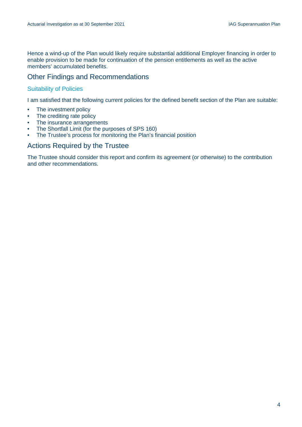Hence a wind-up of the Plan would likely require substantial additional Employer financing in order to enable provision to be made for continuation of the pension entitlements as well as the active members' accumulated benefits.

## Other Findings and Recommendations

#### Suitability of Policies

I am satisfied that the following current policies for the defined benefit section of the Plan are suitable:

- The investment policy
- The crediting rate policy
- The insurance arrangements
- The Shortfall Limit (for the purposes of SPS 160)
- The Trustee's process for monitoring the Plan's financial position

### Actions Required by the Trustee

The Trustee should consider this report and confirm its agreement (or otherwise) to the contribution and other recommendations.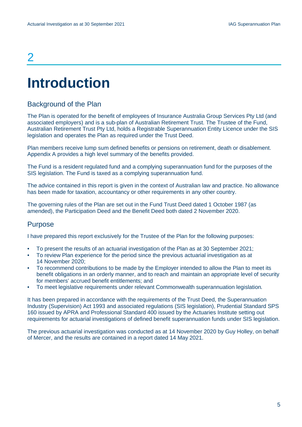## $\overline{\mathcal{L}}$

# <span id="page-6-0"></span>**Introduction**

## Background of the Plan

The Plan is operated for the benefit of employees of Insurance Australia Group Services Pty Ltd (and associated employers) and is a sub-plan of Australian Retirement Trust. The Trustee of the Fund, Australian Retirement Trust Pty Ltd, holds a Registrable Superannuation Entity Licence under the SIS legislation and operates the Plan as required under the Trust Deed.

Plan members receive lump sum defined benefits or pensions on retirement, death or disablement. Appendix A provides a high level summary of the benefits provided.

The Fund is a resident regulated fund and a complying superannuation fund for the purposes of the SIS legislation. The Fund is taxed as a complying superannuation fund.

The advice contained in this report is given in the context of Australian law and practice. No allowance has been made for taxation, accountancy or other requirements in any other country.

The governing rules of the Plan are set out in the Fund Trust Deed dated 1 October 1987 (as amended), the Participation Deed and the Benefit Deed both dated 2 November 2020.

### Purpose

I have prepared this report exclusively for the Trustee of the Plan for the following purposes:

- To present the results of an actuarial investigation of the Plan as at 30 September 2021:
- To review Plan experience for the period since the previous actuarial investigation as at 14 November 2020;
- To recommend contributions to be made by the Employer intended to allow the Plan to meet its benefit obligations in an orderly manner, and to reach and maintain an appropriate level of security for members' accrued benefit entitlements; and
- To meet legislative requirements under relevant Commonwealth superannuation legislation*.*

It has been prepared in accordance with the requirements of the Trust Deed, the Superannuation Industry (Supervision) Act 1993 and associated regulations (SIS legislation), Prudential Standard SPS 160 issued by APRA and Professional Standard 400 issued by the Actuaries Institute setting out requirements for actuarial investigations of defined benefit superannuation funds under SIS legislation.

The previous actuarial investigation was conducted as at 14 November 2020 by Guy Holley, on behalf of Mercer, and the results are contained in a report dated 14 May 2021.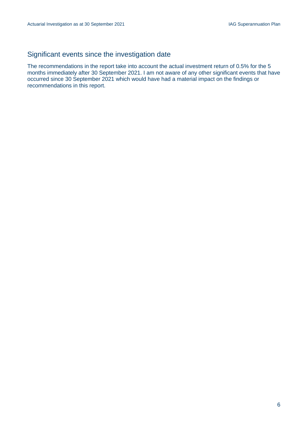## Significant events since the investigation date

The recommendations in the report take into account the actual investment return of 0.5% for the 5 months immediately after 30 September 2021. I am not aware of any other significant events that have occurred since 30 September 2021 which would have had a material impact on the findings or recommendations in this report.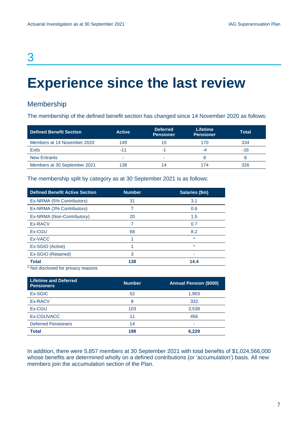## 3

# <span id="page-8-0"></span>**Experience since the last review**

## Membership

The membership of the defined benefit section has changed since 14 November 2020 as follows:

| Defined Benefit Section      | <b>Active</b> | <b>Deferred</b><br><b>Pensioner</b> | <b>Lifetime</b><br><b>Pensioner</b> | Total |
|------------------------------|---------------|-------------------------------------|-------------------------------------|-------|
| Members at 14 November 2020  | 149           | 15                                  | 170                                 | 334   |
| <b>Exits</b>                 | -11           | -1                                  | -4                                  | $-16$ |
| <b>New Entrants</b>          |               | -                                   |                                     |       |
| Members at 30 September 2021 | 138           | 14                                  | 174                                 | 326   |

The membership split by category as at 30 September 2021 is as follows:

| <b>Defined Benefit Active Section</b> | <b>Number</b> | Salaries (\$m) |
|---------------------------------------|---------------|----------------|
| Ex-NRMA (5% Contributors)             | 31            | 3.1            |
| Ex-NRMA (3% Contributors)             |               | 0.6            |
| Ex-NRMA (Non-Contributory)            | 20            | 1.5            |
| Ex-RACV                               |               | 0.7            |
| Ex-CGU                                | 68            | 8.2            |
| Ex-VACC                               |               | $\star$        |
| Ex-SGIO (Active)                      |               | $\star$        |
| Ex-SGIO (Retained)                    | 3             | ۰              |
| Total                                 | 138           | 14.4           |

\* Not disclosed for privacy reasons

| <b>Lifetime and Deferred</b><br><b>Pensioners</b> | <b>Number</b> | <b>Annual Pension (\$000)</b> |
|---------------------------------------------------|---------------|-------------------------------|
| Ex-SGIC                                           | 52            | 1,903                         |
| Ex-RACV                                           | 8             | 332                           |
| Ex-CGU                                            | 103           | 3,538                         |
| Ex-CGUVACC                                        | 11            | 456                           |
| <b>Deferred Pensioners</b>                        | 14            | ۰                             |
| <b>Total</b>                                      | 188           | 6.229                         |

In addition, there were 5,857 members at 30 September 2021 with total benefits of \$1,024,566,000 whose benefits are determined wholly on a defined contributions (or 'accumulation') basis. All new members join the accumulation section of the Plan.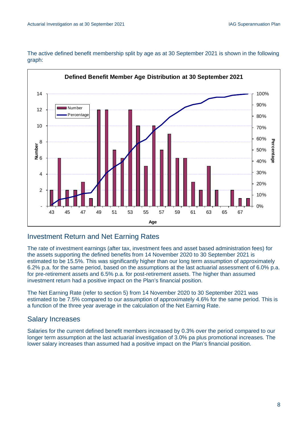The active defined benefit membership split by age as at 30 September 2021 is shown in the following graph:



## Investment Return and Net Earning Rates

The rate of investment earnings (after tax, investment fees and asset based administration fees) for the assets supporting the defined benefits from 14 November 2020 to 30 September 2021 is estimated to be 15.5%. This was significantly higher than our long term assumption of approximately 6.2% p.a. for the same period, based on the assumptions at the last actuarial assessment of 6.0% p.a. for pre-retirement assets and 6.5% p.a. for post-retirement assets. The higher than assumed investment return had a positive impact on the Plan's financial position.

The Net Earning Rate (refer to section 5) from 14 November 2020 to 30 September 2021 was estimated to be 7.5% compared to our assumption of approximately 4.6% for the same period. This is a function of the three year average in the calculation of the Net Earning Rate.

## Salary Increases

Salaries for the current defined benefit members increased by 0.3% over the period compared to our longer term assumption at the last actuarial investigation of 3.0% pa plus promotional increases*.* The lower salary increases than assumed had a positive impact on the Plan's financial position.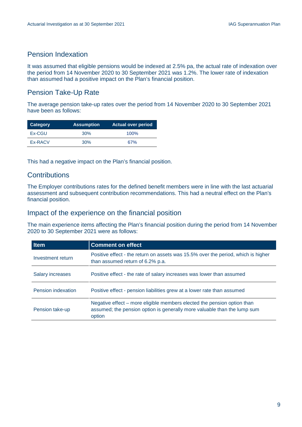## Pension Indexation

It was assumed that eligible pensions would be indexed at 2.5% pa, the actual rate of indexation over the period from 14 November 2020 to 30 September 2021 was 1.2%. The lower rate of indexation than assumed had a positive impact on the Plan's financial position.

## Pension Take-Up Rate

The average pension take-up rates over the period from 14 November 2020 to 30 September 2021 have been as follows:

| Category | <b>Assumption</b> | <b>Actual over period</b> |
|----------|-------------------|---------------------------|
| Ex-CGU   | 30%               | $100\%$                   |
| Ex-RACV  | 30%               | 67%                       |

This had a negative impact on the Plan's financial position.

## **Contributions**

The Employer contributions rates for the defined benefit members were in line with the last actuarial assessment and subsequent contribution recommendations. This had a neutral effect on the Plan's financial position.

### Impact of the experience on the financial position

The main experience items affecting the Plan's financial position during the period from 14 November 2020 to 30 September 2021 were as follows:

| <b>Item</b>             | <b>Comment on effect</b>                                                                                                                                      |
|-------------------------|---------------------------------------------------------------------------------------------------------------------------------------------------------------|
| Investment return       | Positive effect - the return on assets was 15.5% over the period, which is higher<br>than assumed return of 6.2% p.a.                                         |
| <b>Salary increases</b> | Positive effect - the rate of salary increases was lower than assumed                                                                                         |
| Pension indexation      | Positive effect - pension liabilities grew at a lower rate than assumed                                                                                       |
| Pension take-up         | Negative effect – more eligible members elected the pension option than<br>assumed; the pension option is generally more valuable than the lump sum<br>option |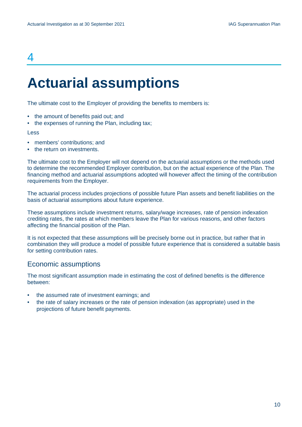## 4

## <span id="page-11-0"></span>**Actuarial assumptions**

The ultimate cost to the Employer of providing the benefits to members is:

- the amount of benefits paid out; and
- the expenses of running the Plan, including tax;

#### Less

- members' contributions; and
- the return on investments.

The ultimate cost to the Employer will not depend on the actuarial assumptions or the methods used to determine the recommended Employer contribution, but on the actual experience of the Plan. The financing method and actuarial assumptions adopted will however affect the timing of the contribution requirements from the Employer.

The actuarial process includes projections of possible future Plan assets and benefit liabilities on the basis of actuarial assumptions about future experience.

These assumptions include investment returns, salary/wage increases, rate of pension indexation crediting rates, the rates at which members leave the Plan for various reasons, and other factors affecting the financial position of the Plan.

It is not expected that these assumptions will be precisely borne out in practice, but rather that in combination they will produce a model of possible future experience that is considered a suitable basis for setting contribution rates.

#### Economic assumptions

The most significant assumption made in estimating the cost of defined benefits is the difference between:

- the assumed rate of investment earnings; and
- the rate of salary increases or the rate of pension indexation (as appropriate) used in the projections of future benefit payments.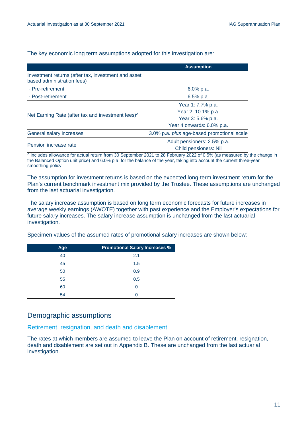The key economic long term assumptions adopted for this investigation are:

|                                                                                   | <b>Assumption</b>                          |
|-----------------------------------------------------------------------------------|--------------------------------------------|
| Investment returns (after tax, investment and asset<br>based administration fees) |                                            |
| - Pre-retirement                                                                  | 6.0% p.a.                                  |
| - Post-retirement                                                                 | $6.5%$ p.a.                                |
|                                                                                   | Year 1: 7.7% p.a.                          |
| Net Earning Rate (after tax and investment fees) <sup>^</sup>                     | Year 2: 10.1% p.a.                         |
|                                                                                   | Year 3: 5.6% p.a.                          |
|                                                                                   | Year 4 onwards: 6.0% p.a.                  |
| General salary increases                                                          | 3.0% p.a. plus age-based promotional scale |
|                                                                                   | Adult pensioners: 2.5% p.a.                |
| Pension increase rate                                                             | <b>Child pensioners: Nil</b>               |

 $\land$  includes allowance for actual return from 30 September 2021 to 28 February 2022 of 0.5% (as measured by the change in the Balanced Option unit price) and 6.0% p.a. for the balance of the year, taking into account the current three-year smoothing policy.

The assumption for investment returns is based on the expected long-term investment return for the Plan's current benchmark investment mix provided by the Trustee. These assumptions are unchanged from the last actuarial investigation.

The salary increase assumption is based on long term economic forecasts for future increases in average weekly earnings (AWOTE) together with past experience and the Employer's expectations for future salary increases. The salary increase assumption is unchanged from the last actuarial investigation.

Specimen values of the assumed rates of promotional salary increases are shown below:

| Age | <b>Promotional Salary Increases %</b> |
|-----|---------------------------------------|
| 40  | 2.1                                   |
| 45  | 1.5                                   |
| 50  | 0.9                                   |
| 55  | 0.5                                   |
| 60  |                                       |
| 54  |                                       |

## Demographic assumptions

Retirement, resignation, and death and disablement

The rates at which members are assumed to leave the Plan on account of retirement, resignation, death and disablement are set out in Appendix B. These are unchanged from the last actuarial investigation.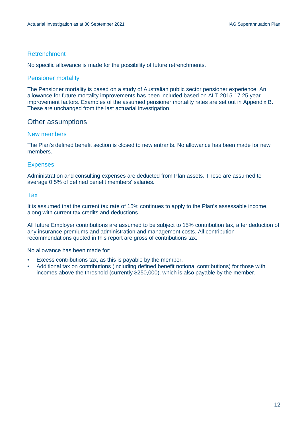#### Retrenchment

No specific allowance is made for the possibility of future retrenchments.

#### Pensioner mortality

The Pensioner mortality is based on a study of Australian public sector pensioner experience. An allowance for future mortality improvements has been included based on ALT 2015-17 25 year improvement factors. Examples of the assumed pensioner mortality rates are set out in Appendix B. These are unchanged from the last actuarial investigation.

### Other assumptions

#### New members

The Plan's defined benefit section is closed to new entrants. No allowance has been made for new members.

#### Expenses

Administration and consulting expenses are deducted from Plan assets. These are assumed to average 0.5% of defined benefit members' salaries.

#### Tax

It is assumed that the current tax rate of 15% continues to apply to the Plan's assessable income, along with current tax credits and deductions.

All future Employer contributions are assumed to be subject to 15% contribution tax, after deduction of any insurance premiums and administration and management costs. All contribution recommendations quoted in this report are gross of contributions tax.

No allowance has been made for:

- Excess contributions tax, as this is payable by the member.
- Additional tax on contributions (including defined benefit notional contributions) for those with incomes above the threshold (currently \$250,000), which is also payable by the member.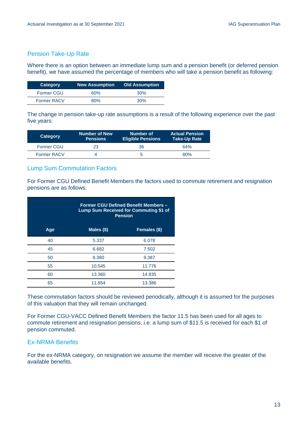#### Pension Take-Up Rate

Where there is an option between an immediate lump sum and a pension benefit (or deferred pension benefit), we have assumed the percentage of members who will take a pension benefit as following:

| Category           | <b>New Assumption</b> | <b>Old Assumption</b> |
|--------------------|-----------------------|-----------------------|
| <b>Former CGU</b>  | 60 <sub>%</sub>       | 30%                   |
| <b>Former RACV</b> | 80%                   | 30%                   |

The change in pension take-up rate assumptions is a result of the following experience over the past five years:

| Category           | <b>Number of New</b><br><b>Pensions</b> | Number of<br><b>Eligible Pensions</b> | <b>Actual Pension</b><br>∣Take-Up Rate <sup>1</sup> |
|--------------------|-----------------------------------------|---------------------------------------|-----------------------------------------------------|
| <b>Former CGU</b>  | 23                                      | 36                                    | 64%                                                 |
| <b>Former RACV</b> |                                         |                                       | 80%                                                 |

#### Lump Sum Commutation Factors

For Former CGU Defined Benefit Members the factors used to commute retirement and resignation pensions are as follows:

|     |              | <b>Former CGU Defined Benefit Members -</b><br>Lump Sum Received for Commuting \$1 of<br><b>Pension</b> |  |
|-----|--------------|---------------------------------------------------------------------------------------------------------|--|
| Age | Males $(\$)$ | Females $($ \$)                                                                                         |  |
| 40  | 5.337        | 6.078                                                                                                   |  |
| 45  | 6.682        | 7.502                                                                                                   |  |
| 50  | 8.380        | 9.387                                                                                                   |  |
| 55  | 10.545       | 11.776                                                                                                  |  |
| 60  | 13.360       | 14.835                                                                                                  |  |
| 65  | 11.854       | 13.386                                                                                                  |  |

These commutation factors should be reviewed periodically, although it is assumed for the purposes of this valuation that they will remain unchanged.

For Former CGU-VACC Defined Benefit Members the factor 11.5 has been used for all ages to commute retirement and resignation pensions, i.e. a lump sum of \$11.5 is received for each \$1 of pension commuted.

#### Ex-NRMA Benefits

For the ex-NRMA category, on resignation we assume the member will receive the greater of the available benefits.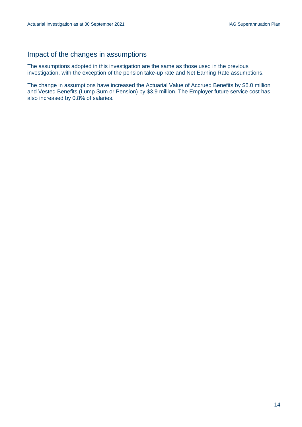## Impact of the changes in assumptions

The assumptions adopted in this investigation are the same as those used in the previous investigation, with the exception of the pension take-up rate and Net Earning Rate assumptions.

The change in assumptions have increased the Actuarial Value of Accrued Benefits by \$6.0 million and Vested Benefits (Lump Sum or Pension) by \$3.9 million. The Employer future service cost has also increased by 0.8% of salaries.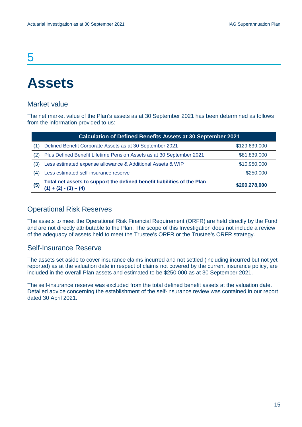## 5

## <span id="page-16-0"></span>**Assets**

### Market value

The net market value of the Plan's assets as at 30 September 2021 has been determined as follows from the information provided to us:

|     | <b>Calculation of Defined Benefits Assets at 30 September 2021</b>                                 |               |  |
|-----|----------------------------------------------------------------------------------------------------|---------------|--|
| 11  | Defined Benefit Corporate Assets as at 30 September 2021                                           | \$129,639,000 |  |
| 2)  | Plus Defined Benefit Lifetime Pension Assets as at 30 September 2021                               | \$81,839,000  |  |
| (3) | Less estimated expense allowance & Additional Assets & WIP                                         | \$10,950,000  |  |
| (4) | Less estimated self-insurance reserve                                                              | \$250,000     |  |
| (5) | Total net assets to support the defined benefit liabilities of the Plan<br>$(1) + (2) - (3) - (4)$ | \$200,278,000 |  |

### Operational Risk Reserves

The assets to meet the Operational Risk Financial Requirement (ORFR) are held directly by the Fund and are not directly attributable to the Plan. The scope of this Investigation does not include a review of the adequacy of assets held to meet the Trustee's ORFR or the Trustee's ORFR strategy.

#### Self-Insurance Reserve

The assets set aside to cover insurance claims incurred and not settled (including incurred but not yet reported) as at the valuation date in respect of claims not covered by the current insurance policy, are included in the overall Plan assets and estimated to be \$250,000 as at 30 September 2021.

The self-insurance reserve was excluded from the total defined benefit assets at the valuation date. Detailed advice concerning the establishment of the self-insurance review was contained in our report dated 30 April 2021.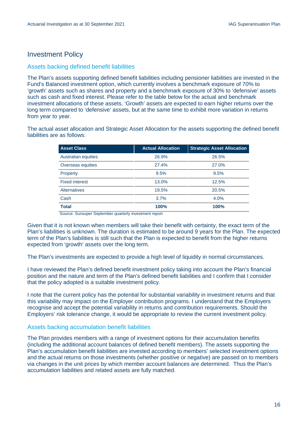## Investment Policy

#### Assets backing defined benefit liabilities

The Plan's assets supporting defined benefit liabilities including pensioner liabilities are invested in the Fund's Balanced investment option, which currently involves a benchmark exposure of 70% to 'growth' assets such as shares and property and a benchmark exposure of 30% to 'defensive' assets such as cash and fixed interest. Please refer to the table below for the actual and benchmark investment allocations of these assets. 'Growth' assets are expected to earn higher returns over the long term compared to 'defensive' assets, but at the same time to exhibit more variation in returns from year to year.

The actual asset allocation and Strategic Asset Allocation for the assets supporting the defined benefit liabilities are as follows:

| <b>Asset Class</b>    | <b>Actual Allocation</b> | <b>Strategic Asset Allocation</b> |
|-----------------------|--------------------------|-----------------------------------|
| Australian equities   | 26.9%                    | 26.5%                             |
| Overseas equities     | 27.4%                    | 27.0%                             |
| Property              | 9.5%                     | 9.5%                              |
| <b>Fixed interest</b> | 13.0%                    | 12.5%                             |
| <b>Alternatives</b>   | 19.5%                    | 20.5%                             |
| Cash                  | 3.7%                     | 4.0%                              |
| <b>Total</b>          | 100%                     | 100%                              |

Source: Sunsuper September quarterly investment report

Given that it is not known when members will take their benefit with certainty, the exact term of the Plan's liabilities is unknown. The duration is estimated to be around 9 years for the Plan. The expected term of the Plan's liabilities is still such that the Plan is expected to benefit from the higher returns expected from 'growth' assets over the long term.

The Plan's investments are expected to provide a high level of liquidity in normal circumstances.

I have reviewed the Plan's defined benefit investment policy taking into account the Plan's financial position and the nature and term of the Plan's defined benefit liabilities and I confirm that I consider that the policy adopted is a suitable investment policy.

I note that the current policy has the potential for substantial variability in investment returns and that this variability may impact on the Employer contribution programs. I understand that the Employers recognise and accept the potential variability in returns and contribution requirements. Should the Employers' risk tolerance change, it would be appropriate to review the current investment policy.

#### Assets backing accumulation benefit liabilities

The Plan provides members with a range of investment options for their accumulation benefits (including the additional account balances of defined benefit members). The assets supporting the Plan's accumulation benefit liabilities are invested according to members' selected investment options and the actual returns on those investments (whether positive or negative) are passed on to members via changes in the unit prices by which member account balances are determined. Thus the Plan's accumulation liabilities and related assets are fully matched.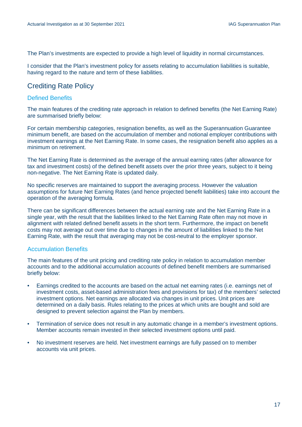The Plan's investments are expected to provide a high level of liquidity in normal circumstances.

I consider that the Plan's investment policy for assets relating to accumulation liabilities is suitable, having regard to the nature and term of these liabilities.

### Crediting Rate Policy

#### Defined Benefits

The main features of the crediting rate approach in relation to defined benefits (the Net Earning Rate) are summarised briefly below:

For certain membership categories, resignation benefits, as well as the Superannuation Guarantee minimum benefit, are based on the accumulation of member and notional employer contributions with investment earnings at the Net Earning Rate. In some cases, the resignation benefit also applies as a minimum on retirement.

The Net Earning Rate is determined as the average of the annual earning rates (after allowance for tax and investment costs) of the defined benefit assets over the prior three years, subject to it being non-negative. The Net Earning Rate is updated daily.

No specific reserves are maintained to support the averaging process. However the valuation assumptions for future Net Earning Rates (and hence projected benefit liabilities) take into account the operation of the averaging formula.

There can be significant differences between the actual earning rate and the Net Earning Rate in a single year, with the result that the liabilities linked to the Net Earning Rate often may not move in alignment with related defined benefit assets in the short term. Furthermore, the impact on benefit costs may not average out over time due to changes in the amount of liabilities linked to the Net Earning Rate, with the result that averaging may not be cost-neutral to the employer sponsor.

#### Accumulation Benefits

The main features of the unit pricing and crediting rate policy in relation to accumulation member accounts and to the additional accumulation accounts of defined benefit members are summarised briefly below:

- Earnings credited to the accounts are based on the actual net earning rates (i.e. earnings net of investment costs, asset-based administration fees and provisions for tax) of the members' selected investment options. Net earnings are allocated via changes in unit prices. Unit prices are determined on a daily basis. Rules relating to the prices at which units are bought and sold are designed to prevent selection against the Plan by members.
- Termination of service does not result in any automatic change in a member's investment options. Member accounts remain invested in their selected investment options until paid.
- No investment reserves are held. Net investment earnings are fully passed on to member accounts via unit prices.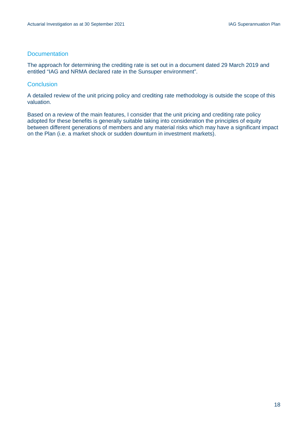#### **Documentation**

The approach for determining the crediting rate is set out in a document dated 29 March 2019 and entitled "IAG and NRMA declared rate in the Sunsuper environment".

#### **Conclusion**

A detailed review of the unit pricing policy and crediting rate methodology is outside the scope of this valuation.

Based on a review of the main features, I consider that the unit pricing and crediting rate policy adopted for these benefits is generally suitable taking into consideration the principles of equity between different generations of members and any material risks which may have a significant impact on the Plan (i.e. a market shock or sudden downturn in investment markets).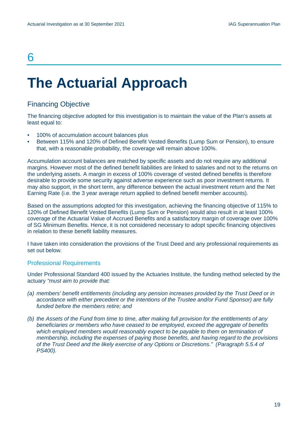## 6

# <span id="page-20-0"></span>**The Actuarial Approach**

## Financing Objective

The financing objective adopted for this investigation is to maintain the value of the Plan's assets at least equal to:

- 100% of accumulation account balances plus
- Between 115% and 120% of Defined Benefit Vested Benefits (Lump Sum or Pension), to ensure that, with a reasonable probability, the coverage will remain above 100%.

Accumulation account balances are matched by specific assets and do not require any additional margins. However most of the defined benefit liabilities are linked to salaries and not to the returns on the underlying assets. A margin in excess of 100% coverage of vested defined benefits is therefore desirable to provide some security against adverse experience such as poor investment returns. It may also support, in the short term, any difference between the actual investment return and the Net Earning Rate (i.e. the 3 year average return applied to defined benefit member accounts).

Based on the assumptions adopted for this investigation, achieving the financing objective of 115% to 120% of Defined Benefit Vested Benefits (Lump Sum or Pension) would also result in at least 100% coverage of the Actuarial Value of Accrued Benefits and a satisfactory margin of coverage over 100% of SG Minimum Benefits. Hence, it is not considered necessary to adopt specific financing objectives in relation to these benefit liability measures.

I have taken into consideration the provisions of the Trust Deed and any professional requirements as set out below.

#### Professional Requirements

Under Professional Standard 400 issued by the Actuaries Institute, the funding method selected by the actuary *"must aim to provide that:*

- *(a) members' benefit entitlements (including any pension increases provided by the Trust Deed or in accordance with either precedent or the intentions of the Trustee and/or Fund Sponsor) are fully funded before the members retire; and*
- *(b) the Assets of the Fund from time to time, after making full provision for the entitlements of any beneficiaries or members who have ceased to be employed, exceed the aggregate of benefits which employed members would reasonably expect to be payable to them on termination of membership, including the expenses of paying those benefits, and having regard to the provisions of the Trust Deed and the likely exercise of any Options or Discretions." (Paragraph 5.5.4 of PS400).*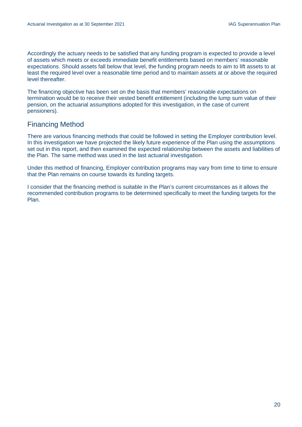Accordingly the actuary needs to be satisfied that any funding program is expected to provide a level of assets which meets or exceeds immediate benefit entitlements based on members' reasonable expectations. Should assets fall below that level, the funding program needs to aim to lift assets to at least the required level over a reasonable time period and to maintain assets at or above the required level thereafter.

The financing objective has been set on the basis that members' reasonable expectations on termination would be to receive their vested benefit entitlement (including the lump sum value of their pension, on the actuarial assumptions adopted for this investigation, in the case of current pensioners).

### Financing Method

There are various financing methods that could be followed in setting the Employer contribution level. In this investigation we have projected the likely future experience of the Plan using the assumptions set out in this report, and then examined the expected relationship between the assets and liabilities of the Plan. The same method was used in the last actuarial investigation.

Under this method of financing, Employer contribution programs may vary from time to time to ensure that the Plan remains on course towards its funding targets.

I consider that the financing method is suitable in the Plan's current circumstances as it allows the recommended contribution programs to be determined specifically to meet the funding targets for the Plan.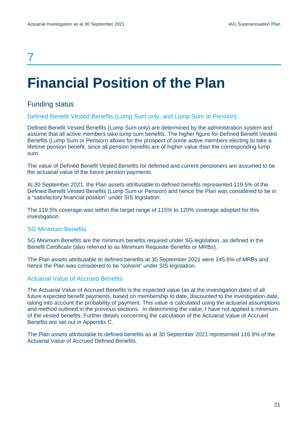## 7

# <span id="page-22-0"></span>**Financial Position of the Plan**

## Funding status

#### Defined Benefit Vested Benefits (Lump Sum only, and Lump Sum or Pension)

Defined Benefit Vested Benefits (Lump Sum only) are determined by the administration system and assume that all active members take lump sum benefits. The higher figure for Defined Benefit Vested Benefits (Lump Sum or Pension) allows for the prospect of some active members electing to take a lifetime pension benefit, since all pension benefits are of higher value than the corresponding lump sum.

The value of Defined Benefit Vested Benefits for deferred and current pensioners are assumed to be the actuarial value of the future pension payments.

At 30 September 2021, the Plan assets attributable to defined benefits represented 119.5% of the Defined Benefit Vested Benefits (Lump Sum or Pension) and hence the Plan was considered to be in a "satisfactory financial position" under SIS legislation.

The 119.5% coverage was within the target range of 115% to 120% coverage adopted for this investigation.

#### SG Minimum Benefits

SG Minimum Benefits are the minimum benefits required under SG legislation, as defined in the Benefit Certificate (also referred to as Minimum Requisite Benefits or MRBs).

The Plan assets attributable to defined benefits at 30 September 2021 were 145.6% of MRBs and hence the Plan was considered to be "solvent" under SIS legislation.

#### Actuarial Value of Accrued Benefits

The Actuarial Value of Accrued Benefits is the expected value (as at the investigation date) of all future expected benefit payments, based on membership to date, discounted to the investigation date, taking into account the probability of payment. This value is calculated using the actuarial assumptions and method outlined in the previous sections. In determining the value, I have not applied a minimum of the vested benefits. Further details concerning the calculation of the Actuarial Value of Accrued Benefits are set out in Appendix C.

The Plan assets attributable to defined benefits as at 30 September 2021 represented 116.9% of the Actuarial Value of Accrued Defined Benefits.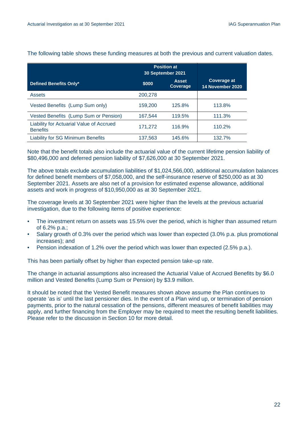|                                                             | <b>Position at</b><br>30 September 2021 |                                 |                                        |
|-------------------------------------------------------------|-----------------------------------------|---------------------------------|----------------------------------------|
| Defined Benefits Only*                                      | \$000                                   | <b>Asset</b><br><b>Coverage</b> | <b>Coverage at</b><br>14 November 2020 |
| Assets                                                      | 200,278                                 |                                 |                                        |
| Vested Benefits (Lump Sum only)                             | 159,200                                 | 125.8%                          | 113.8%                                 |
| Vested Benefits (Lump Sum or Pension)                       | 167.544                                 | 119.5%                          | 111.3%                                 |
| Liability for Actuarial Value of Accrued<br><b>Benefits</b> | 171,272                                 | 116.9%                          | 110.2%                                 |
| <b>Liability for SG Minimum Benefits</b>                    | 137,563                                 | 145.6%                          | 132.7%                                 |

#### The following table shows these funding measures at both the previous and current valuation dates.

Note that the benefit totals also include the actuarial value of the current lifetime pension liability of \$80,496,000 and deferred pension liability of \$7,626,000 at 30 September 2021.

The above totals exclude accumulation liabilities of \$1,024,566,000, additional accumulation balances for defined benefit members of \$7,058,000, and the self-insurance reserve of \$250,000 as at 30 September 2021. Assets are also net of a provision for estimated expense allowance, additional assets and work in progress of \$10,950,000 as at 30 September 2021.

The coverage levels at 30 September 2021 were higher than the levels at the previous actuarial investigation, due to the following items of positive experience:

- The investment return on assets was 15.5% over the period, which is higher than assumed return of 6.2% p.a.;
- Salary growth of 0.3% over the period which was lower than expected (3.0% p.a. plus promotional increases); and
- Pension indexation of 1.2% over the period which was lower than expected (2.5% p.a.).

This has been partially offset by higher than expected pension take-up rate.

The change in actuarial assumptions also increased the Actuarial Value of Accrued Benefits by \$6.0 million and Vested Benefits (Lump Sum or Pension) by \$3.9 million.

It should be noted that the Vested Benefit measures shown above assume the Plan continues to operate 'as is' until the last pensioner dies. In the event of a Plan wind up, or termination of pension payments, prior to the natural cessation of the pensions, different measures of benefit liabilities may apply, and further financing from the Employer may be required to meet the resulting benefit liabilities. Please refer to the discussion in Section 10 for more detail.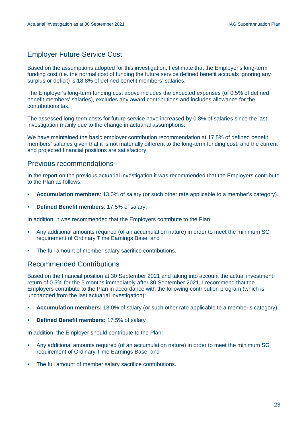## Employer Future Service Cost

Based on the assumptions adopted for this investigation, I estimate that the Employer's long-term funding cost (i.e. the normal cost of funding the future service defined benefit accruals ignoring any surplus or deficit) is 18.8% of defined benefit members' salaries.

The Employer's long-term funding cost above includes the expected expenses (of 0.5% of defined benefit members' salaries), excludes any award contributions and includes allowance for the contributions tax.

The assessed long-term costs for future service have increased by 0.8% of salaries since the last investigation mainly due to the change in actuarial assumptions.

We have maintained the basic employer contribution recommendation at 17.5% of defined benefit members' salaries given that it is not materially different to the long-term funding cost, and the current and projected financial positions are satisfactory.

### Previous recommendations

In the report on the previous actuarial investigation it was recommended that the Employers contribute to the Plan as follows:

- **Accumulation members**: 13.0% of salary (or such other rate applicable to a member's category).
- **Defined Benefit members**: 17.5% of salary.

In addition, it was recommended that the Employers contribute to the Plan:

- Any additional amounts required (of an accumulation nature) in order to meet the minimum SG requirement of Ordinary Time Earnings Base; and
- The full amount of member salary sacrifice contributions.

#### Recommended Contributions

Based on the financial position at 30 September 2021 and taking into account the actual investment return of 0.5% for the 5 months immediately after 30 September 2021, I recommend that the Employers contribute to the Plan in accordance with the following contribution program (which is unchanged from the last actuarial investigation):

- **Accumulation members:** 13.0% of salary (or such other rate applicable to a member's category)
- **Defined Benefit members:** 17.5% of salary

In addition, the Employer should contribute to the Plan:

- Any additional amounts required (of an accumulation nature) in order to meet the minimum SG requirement of Ordinary Time Earnings Base; and
- The full amount of member salary sacrifice contributions.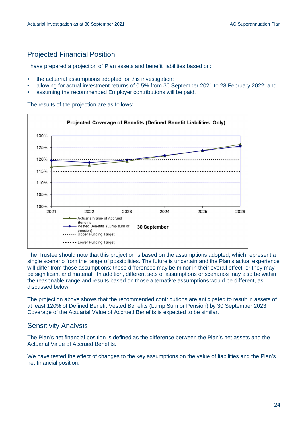## Projected Financial Position

I have prepared a projection of Plan assets and benefit liabilities based on:

- the actuarial assumptions adopted for this investigation;
- allowing for actual investment returns of 0.5% from 30 September 2021 to 28 February 2022; and
- assuming the recommended Employer contributions will be paid.

The results of the projection are as follows:



The Trustee should note that this projection is based on the assumptions adopted, which represent a single scenario from the range of possibilities. The future is uncertain and the Plan's actual experience will differ from those assumptions; these differences may be minor in their overall effect, or they may be significant and material. In addition, different sets of assumptions or scenarios may also be within the reasonable range and results based on those alternative assumptions would be different, as discussed below.

The projection above shows that the recommended contributions are anticipated to result in assets of at least 120% of Defined Benefit Vested Benefits (Lump Sum or Pension) by 30 September 2023. Coverage of the Actuarial Value of Accrued Benefits is expected to be similar.

### Sensitivity Analysis

The Plan's net financial position is defined as the difference between the Plan's net assets and the Actuarial Value of Accrued Benefits.

We have tested the effect of changes to the key assumptions on the value of liabilities and the Plan's net financial position.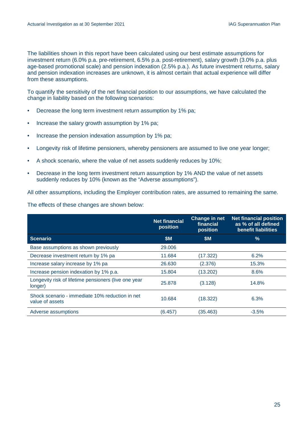The liabilities shown in this report have been calculated using our best estimate assumptions for investment return (6.0% p.a. pre-retirement, 6.5% p.a. post-retirement), salary growth (3.0% p.a. plus age-based promotional scale) and pension indexation (2.5% p.a.). As future investment returns, salary and pension indexation increases are unknown, it is almost certain that actual experience will differ from these assumptions.

To quantify the sensitivity of the net financial position to our assumptions, we have calculated the change in liability based on the following scenarios:

- Decrease the long term investment return assumption by 1% pa;
- Increase the salary growth assumption by 1% pa;
- Increase the pension indexation assumption by 1% pa;
- Longevity risk of lifetime pensioners, whereby pensioners are assumed to live one year longer;
- A shock scenario, where the value of net assets suddenly reduces by 10%;
- Decrease in the long term investment return assumption by 1% AND the value of net assets suddenly reduces by 10% (known as the "Adverse assumptions").

All other assumptions, including the Employer contribution rates, are assumed to remaining the same.

The effects of these changes are shown below:

|                                                                    | <b>Net financial</b><br>position | Change in net<br>financial<br>position | <b>Net financial position</b><br>as % of all defined<br>benefit liabilities |
|--------------------------------------------------------------------|----------------------------------|----------------------------------------|-----------------------------------------------------------------------------|
| <b>Scenario</b>                                                    | <b>\$M</b>                       | \$M                                    | $\%$                                                                        |
| Base assumptions as shown previously                               | 29.006                           |                                        |                                                                             |
| Decrease investment return by 1% pa                                | 11.684                           | (17.322)                               | 6.2%                                                                        |
| Increase salary increase by 1% pa                                  | 26.630                           | (2.376)                                | 15.3%                                                                       |
| Increase pension indexation by 1% p.a.                             | 15.804                           | (13.202)                               | 8.6%                                                                        |
| Longevity risk of lifetime pensioners (live one year<br>longer)    | 25.878                           | (3.128)                                | 14.8%                                                                       |
| Shock scenario - immediate 10% reduction in net<br>value of assets | 10.684                           | (18.322)                               | 6.3%                                                                        |
| Adverse assumptions                                                | (6.457)                          | (35.463)                               | $-3.5%$                                                                     |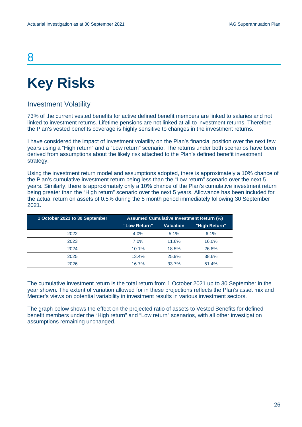## 8

# <span id="page-27-0"></span>**Key Risks**

## Investment Volatility

73% of the current vested benefits for active defined benefit members are linked to salaries and not linked to investment returns. Lifetime pensions are not linked at all to investment returns. Therefore the Plan's vested benefits coverage is highly sensitive to changes in the investment returns.

I have considered the impact of investment volatility on the Plan's financial position over the next few years using a "High return" and a "Low return" scenario. The returns under both scenarios have been derived from assumptions about the likely risk attached to the Plan's defined benefit investment strategy.

Using the investment return model and assumptions adopted, there is approximately a 10% chance of the Plan's cumulative investment return being less than the "Low return" scenario over the next 5 years. Similarly, there is approximately only a 10% chance of the Plan's cumulative investment return being greater than the "High return" scenario over the next 5 years. Allowance has been included for the actual return on assets of 0.5% during the 5 month period immediately following 30 September 2021.

| 1 October 2021 to 30 September | <b>Assumed Cumulative Investment Return (%)</b> |                  |               |
|--------------------------------|-------------------------------------------------|------------------|---------------|
|                                | "Low Return"                                    | <b>Valuation</b> | "High Return" |
| 2022                           | 4.0%                                            | 5.1%             | 6.1%          |
| 2023                           | $7.0\%$                                         | 11.6%            | 16.0%         |
| 2024                           | 10.1%                                           | 18.5%            | 26.8%         |
| 2025                           | 13.4%                                           | 25.9%            | 38.6%         |
| 2026                           | 16.7%                                           | 33.7%            | 51.4%         |

The cumulative investment return is the total return from 1 October 2021 up to 30 September in the year shown. The extent of variation allowed for in these projections reflects the Plan's asset mix and Mercer's views on potential variability in investment results in various investment sectors.

The graph below shows the effect on the projected ratio of assets to Vested Benefits for defined benefit members under the "High return" and "Low return" scenarios, with all other investigation assumptions remaining unchanged.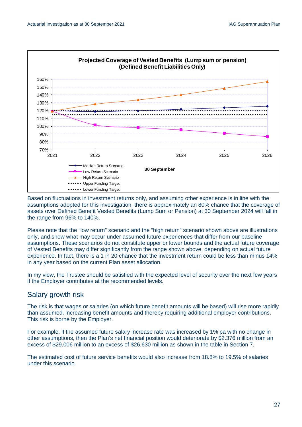

Based on fluctuations in investment returns only, and assuming other experience is in line with the assumptions adopted for this investigation, there is approximately an 80% chance that the coverage of assets over Defined Benefit Vested Benefits (Lump Sum or Pension) at 30 September 2024 will fall in the range from 96% to 140%.

Please note that the "low return" scenario and the "high return" scenario shown above are illustrations only, and show what may occur under assumed future experiences that differ from our baseline assumptions. These scenarios do not constitute upper or lower bounds and the actual future coverage of Vested Benefits may differ significantly from the range shown above, depending on actual future experience. In fact, there is a 1 in 20 chance that the investment return could be less than minus 14% in any year based on the current Plan asset allocation.

In my view, the Trustee should be satisfied with the expected level of security over the next few years if the Employer contributes at the recommended levels.

### Salary growth risk

The risk is that wages or salaries (on which future benefit amounts will be based) will rise more rapidly than assumed, increasing benefit amounts and thereby requiring additional employer contributions. This risk is borne by the Employer.

For example, if the assumed future salary increase rate was increased by 1% pa with no change in other assumptions, then the Plan's net financial position would deteriorate by \$2.376 million from an excess of \$29.006 million to an excess of \$26.630 million as shown in the table in Section 7.

The estimated cost of future service benefits would also increase from 18.8% to 19.5% of salaries under this scenario.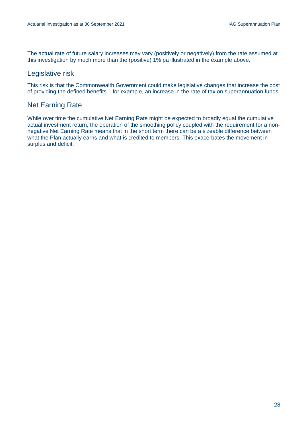The actual rate of future salary increases may vary (positively or negatively) from the rate assumed at this investigation by much more than the (positive) 1% pa illustrated in the example above.

## Legislative risk

This risk is that the Commonwealth Government could make legislative changes that increase the cost of providing the defined benefits – for example, an increase in the rate of tax on superannuation funds.

## Net Earning Rate

While over time the cumulative Net Earning Rate might be expected to broadly equal the cumulative actual investment return, the operation of the smoothing policy coupled with the requirement for a nonnegative Net Earning Rate means that in the short term there can be a sizeable difference between what the Plan actually earns and what is credited to members. This exacerbates the movement in surplus and deficit.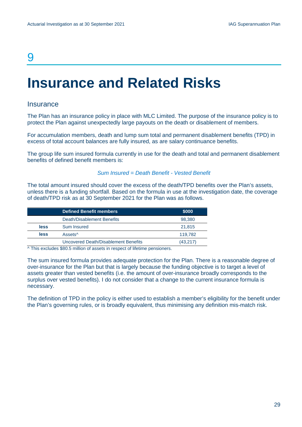## 9

## <span id="page-30-0"></span>**Insurance and Related Risks**

#### **Insurance**

The Plan has an insurance policy in place with MLC Limited. The purpose of the insurance policy is to protect the Plan against unexpectedly large payouts on the death or disablement of members.

For accumulation members, death and lump sum total and permanent disablement benefits (TPD) in excess of total account balances are fully insured, as are salary continuance benefits.

The group life sum insured formula currently in use for the death and total and permanent disablement benefits of defined benefit members is:

#### *Sum Insured = Death Benefit - Vested Benefit*

The total amount insured should cover the excess of the death/TPD benefits over the Plan's assets, unless there is a funding shortfall. Based on the formula in use at the investigation date, the coverage of death/TPD risk as at 30 September 2021 for the Plan was as follows.

|                                                                         | <b>Defined Benefit members</b>       | \$000    |  |
|-------------------------------------------------------------------------|--------------------------------------|----------|--|
|                                                                         | Death/Disablement Benefits           | 98,380   |  |
| less                                                                    | Sum Insured                          | 21.815   |  |
| less                                                                    | Assets <sup>^</sup>                  | 119.782  |  |
|                                                                         | Uncovered Death/Disablement Benefits | (43,217) |  |
| A This cooled by AAA FoodBird of cooled is accepted the final cooled by |                                      |          |  |

^ This excludes \$80.5 million of assets in respect of lifetime pensioners.

The sum insured formula provides adequate protection for the Plan. There is a reasonable degree of over-insurance for the Plan but that is largely because the funding objective is to target a level of assets greater than vested benefits (i.e. the amount of over-insurance broadly corresponds to the surplus over vested benefits). I do not consider that a change to the current insurance formula is necessary.

The definition of TPD in the policy is either used to establish a member's eligibility for the benefit under the Plan's governing rules, or is broadly equivalent, thus minimising any definition mis-match risk.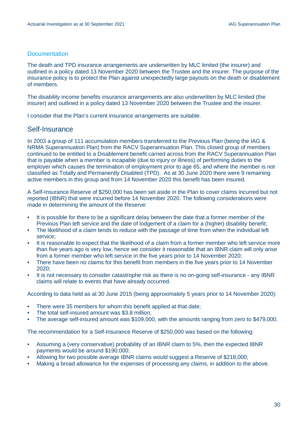#### **Documentation**

The death and TPD insurance arrangements are underwritten by MLC limited (the insurer) and outlined in a policy dated 13 November 2020 between the Trustee and the insurer. The purpose of the insurance policy is to protect the Plan against unexpectedly large payouts on the death or disablement of members.

The disability income benefits insurance arrangements are also underwritten by MLC limited (the insurer) and outlined in a policy dated 13 November 2020 between the Trustee and the insurer.

I consider that the Plan's current insurance arrangements are suitable.

### Self-Insurance

In 2003 a group of 111 accumulation members transferred to the Previous Plan (being the IAG & NRMA Superannuation Plan) from the RACV Superannuation Plan. This closed group of members continued to be entitled to a Disablement benefit carried across from the RACV Superannuation Plan that is payable when a member is incapable (due to injury or illness) of performing duties to the employer which causes the termination of employment prior to age 65, and where the member is not classified as Totally and Permanently Disabled (TPD). As at 30 June 2020 there were 9 remaining active members in this group and from 14 November 2020 this benefit has been insured.

A Self-Insurance Reserve of \$250,000 has been set aside in the Plan to cover claims incurred but not reported (IBNR) that were incurred before 14 November 2020. The following considerations were made in determining the amount of the Reserve:

- It is possible for there to be a significant delay between the date that a former member of the Previous Plan left service and the date of lodgement of a claim for a (higher) disability benefit;
- The likelihood of a claim tends to reduce with the passage of time from when the individual left service;
- It is reasonable to expect that the likelihood of a claim from a former member who left service more than five years ago is very low, hence we consider it reasonable that an IBNR claim will only arise from a former member who left service in the five years prior to 14 November 2020;
- There have been no claims for this benefit from members in the five years prior to 14 November 2020;
- It is not necessary to consider catastrophe risk as there is no on-going self-insurance any IBNR claims will relate to events that have already occurred.

According to data held as at 30 June 2015 (being approximately 5 years prior to 14 November 2020):

- There were 35 members for whom this benefit applied at that date;
- The total self-insured amount was \$3.8 million;
- The average self-insured amount was \$109,000, with the amounts ranging from zero to \$479,000.

The recommendation for a Self-Insurance Reserve of \$250,000 was based on the following:

- Assuming a (very conservative) probability of an IBNR claim to 5%, then the expected IBNR payments would be around \$190,000;
- Allowing for two possible average IBNR claims would suggest a Reserve of \$218,000;
- Making a broad allowance for the expenses of processing any claims, in addition to the above.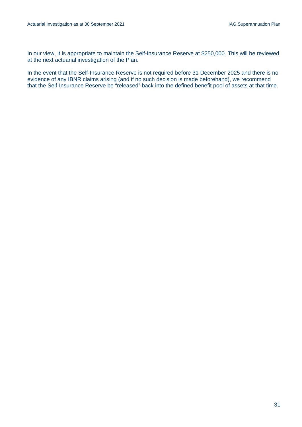In our view, it is appropriate to maintain the Self-Insurance Reserve at \$250,000. This will be reviewed at the next actuarial investigation of the Plan.

In the event that the Self-Insurance Reserve is not required before 31 December 2025 and there is no evidence of any IBNR claims arising (and if no such decision is made beforehand), we recommend that the Self-Insurance Reserve be "released" back into the defined benefit pool of assets at that time.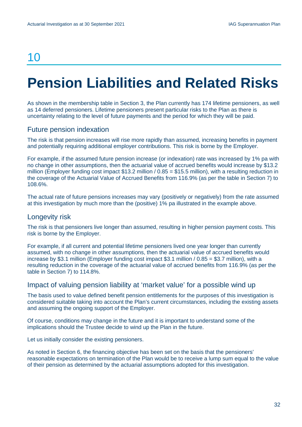## 10

# <span id="page-33-0"></span>**Pension Liabilities and Related Risks**

As shown in the membership table in Section 3, the Plan currently has 174 lifetime pensioners, as well as 14 deferred pensioners. Lifetime pensioners present particular risks to the Plan as there is uncertainty relating to the level of future payments and the period for which they will be paid.

### Future pension indexation

The risk is that pension increases will rise more rapidly than assumed, increasing benefits in payment and potentially requiring additional employer contributions. This risk is borne by the Employer.

For example, if the assumed future pension increase (or indexation) rate was increased by 1% pa with no change in other assumptions, then the actuarial value of accrued benefits would increase by \$13.2 million (Employer funding cost impact \$13.2 million  $/$  0.85 = \$15.5 million), with a resulting reduction in the coverage of the Actuarial Value of Accrued Benefits from 116.9% (as per the table in Section 7) to 108.6%.

The actual rate of future pensions increases may vary (positively or negatively) from the rate assumed at this investigation by much more than the (positive) 1% pa illustrated in the example above.

#### Longevity risk

The risk is that pensioners live longer than assumed, resulting in higher pension payment costs. This risk is borne by the Employer.

For example, if all current and potential lifetime pensioners lived one year longer than currently assumed, with no change in other assumptions, then the actuarial value of accrued benefits would increase by \$3.1 million (Employer funding cost impact \$3.1 million  $/ 0.85 = $3.7$  million), with a resulting reduction in the coverage of the actuarial value of accrued benefits from 116.9% (as per the table in Section 7) to 114.8%.

#### Impact of valuing pension liability at 'market value' for a possible wind up

The basis used to value defined benefit pension entitlements for the purposes of this investigation is considered suitable taking into account the Plan's current circumstances, including the existing assets and assuming the ongoing support of the Employer.

Of course, conditions may change in the future and it is important to understand some of the implications should the Trustee decide to wind up the Plan in the future.

Let us initially consider the existing pensioners.

As noted in Section 6, the financing objective has been set on the basis that the pensioners' reasonable expectations on termination of the Plan would be to receive a lump sum equal to the value of their pension as determined by the actuarial assumptions adopted for this investigation.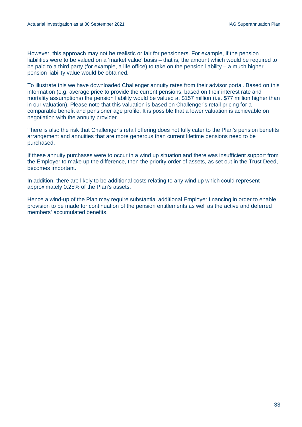However, this approach may not be realistic or fair for pensioners. For example, if the pension liabilities were to be valued on a 'market value' basis – that is, the amount which would be required to be paid to a third party (for example, a life office) to take on the pension liability – a much higher pension liability value would be obtained.

To illustrate this we have downloaded Challenger annuity rates from their advisor portal. Based on this information (e.g. average price to provide the current pensions, based on their interest rate and mortality assumptions) the pension liability would be valued at \$157 million (i.e. \$77 million higher than in our valuation). Please note that this valuation is based on Challenger's retail pricing for a comparable benefit and pensioner age profile. It is possible that a lower valuation is achievable on negotiation with the annuity provider.

There is also the risk that Challenger's retail offering does not fully cater to the Plan's pension benefits arrangement and annuities that are more generous than current lifetime pensions need to be purchased.

If these annuity purchases were to occur in a wind up situation and there was insufficient support from the Employer to make up the difference, then the priority order of assets, as set out in the Trust Deed, becomes important.

In addition, there are likely to be additional costs relating to any wind up which could represent approximately 0.25% of the Plan's assets.

Hence a wind-up of the Plan may require substantial additional Employer financing in order to enable provision to be made for continuation of the pension entitlements as well as the active and deferred members' accumulated benefits.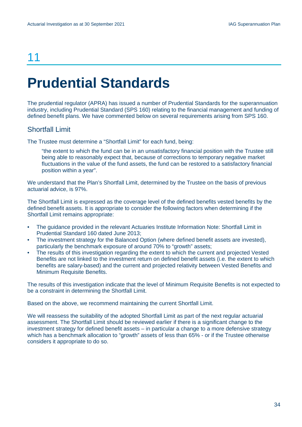## 11

# <span id="page-35-0"></span>**Prudential Standards**

The prudential regulator (APRA) has issued a number of Prudential Standards for the superannuation industry, including Prudential Standard (SPS 160) relating to the financial management and funding of defined benefit plans. We have commented below on several requirements arising from SPS 160.

### Shortfall Limit

The Trustee must determine a "Shortfall Limit" for each fund, being:

"the extent to which the fund can be in an unsatisfactory financial position with the Trustee still being able to reasonably expect that, because of corrections to temporary negative market fluctuations in the value of the fund assets, the fund can be restored to a satisfactory financial position within a year".

We understand that the Plan's Shortfall Limit, determined by the Trustee on the basis of previous actuarial advice, is 97%.

The Shortfall Limit is expressed as the coverage level of the defined benefits vested benefits by the defined benefit assets. It is appropriate to consider the following factors when determining if the Shortfall Limit remains appropriate:

- The guidance provided in the relevant Actuaries Institute Information Note: Shortfall Limit in Prudential Standard 160 dated June 2013;
- The investment strategy for the Balanced Option (where defined benefit assets are invested), particularly the benchmark exposure of around 70% to "growth" assets;
- The results of this investigation regarding the extent to which the current and projected Vested Benefits are not linked to the investment return on defined benefit assets (i.e. the extent to which benefits are salary-based) and the current and projected relativity between Vested Benefits and Minimum Requisite Benefits.

The results of this investigation indicate that the level of Minimum Requisite Benefits is not expected to be a constraint in determining the Shortfall Limit.

Based on the above, we recommend maintaining the current Shortfall Limit.

We will reassess the suitability of the adopted Shortfall Limit as part of the next regular actuarial assessment. The Shortfall Limit should be reviewed earlier if there is a significant change to the investment strategy for defined benefit assets – in particular a change to a more defensive strategy which has a benchmark allocation to "growth" assets of less than 65% - or if the Trustee otherwise considers it appropriate to do so.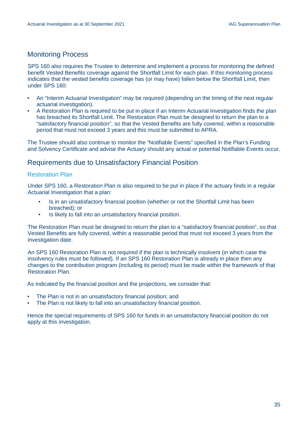## Monitoring Process

SPS 160 also requires the Trustee to determine and implement a process for monitoring the defined benefit Vested Benefits coverage against the Shortfall Limit for each plan. If this monitoring process indicates that the vested benefits coverage has (or may have) fallen below the Shortfall Limit, then under SPS 160:

- An "Interim Actuarial Investigation" may be required (depending on the timing of the next regular actuarial investigation).
- A Restoration Plan is required to be put in place if an Interim Actuarial Investigation finds the plan has breached its Shortfall Limit. The Restoration Plan must be designed to return the plan to a "satisfactory financial position", so that the Vested Benefits are fully covered, within a reasonable period that must not exceed 3 years and this must be submitted to APRA.

The Trustee should also continue to monitor the "Notifiable Events" specified in the Plan's Funding and Solvency Certificate and advise the Actuary should any actual or potential Notifiable Events occur.

### Requirements due to Unsatisfactory Financial Position

#### Restoration Plan

Under SPS 160, a Restoration Plan is also required to be put in place if the actuary finds in a regular Actuarial Investigation that a plan:

- Is in an unsatisfactory financial position (whether or not the Shortfall Limit has been breached); or
- Is likely to fall into an unsatisfactory financial position.

The Restoration Plan must be designed to return the plan to a "satisfactory financial position", so that Vested Benefits are fully covered, within a reasonable period that must not exceed 3 years from the investigation date.

An SPS 160 Restoration Plan is not required if the plan is technically insolvent (in which case the insolvency rules must be followed). If an SPS 160 Restoration Plan is already in place then any changes to the contribution program (including its period) must be made within the framework of that Restoration Plan.

As indicated by the financial position and the projections, we consider that:

- The Plan is not in an unsatisfactory financial position; and
- The Plan is not likely to fall into an unsatisfactory financial position.

Hence the special requirements of SPS 160 for funds in an unsatisfactory financial position do not apply at this investigation.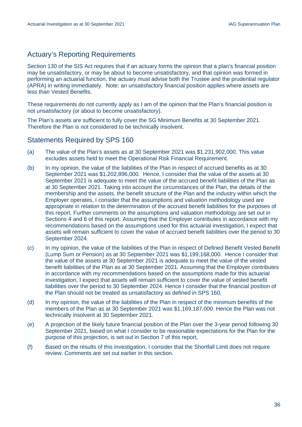## Actuary's Reporting Requirements

Section 130 of the SIS Act requires that if an actuary forms the opinion that a plan's financial position may be unsatisfactory, or may be about to become unsatisfactory, and that opinion was formed in performing an actuarial function, the actuary must advise both the Trustee and the prudential regulator (APRA) in writing immediately. Note: an unsatisfactory financial position applies where assets are less than Vested Benefits.

These requirements do not currently apply as I am of the opinion that the Plan's financial position is not unsatisfactory (or about to become unsatisfactory).

The Plan's assets are sufficient to fully cover the SG Minimum Benefits at 30 September 2021. Therefore the Plan is not considered to be technically insolvent.

### Statements Required by SPS 160

- (a) The value of the Plan's assets as at 30 September 2021 was \$1,231,902,000. This value excludes assets held to meet the Operational Risk Financial Requirement.
- (b) In my opinion, the value of the liabilities of the Plan in respect of accrued benefits as at 30 September 2021 was \$1,202,896,000. Hence, I consider that the value of the assets at 30 September 2021 is adequate to meet the value of the accrued benefit liabilities of the Plan as at 30 September 2021. Taking into account the circumstances of the Plan, the details of the membership and the assets, the benefit structure of the Plan and the industry within which the Employer operates, I consider that the assumptions and valuation methodology used are appropriate in relation to the determination of the accrued benefit liabilities for the purposes of this report. Further comments on the assumptions and valuation methodology are set out in Sections 4 and 6 of this report. Assuming that the Employer contributes in accordance with my recommendations based on the assumptions used for this actuarial investigation, I expect that assets will remain sufficient to cover the value of accrued benefit liabilities over the period to 30 September 2024.
- (c) In my opinion, the value of the liabilities of the Plan in respect of Defined Benefit Vested Benefit (Lump Sum or Pension) as at 30 September 2021 was \$1,199,168,000. Hence I consider that the value of the assets at 30 September 2021 is adequate to meet the value of the vested benefit liabilities of the Plan as at 30 September 2021. Assuming that the Employer contributes in accordance with my recommendations based on the assumptions made for this actuarial investigation, I expect that assets will remain sufficient to cover the value of vested benefit liabilities over the period to 30 September 2024. Hence I consider that the financial position of the Plan should not be treated as unsatisfactory as defined in SPS 160.
- (d) In my opinion, the value of the liabilities of the Plan in respect of the minimum benefits of the members of the Plan as at 30 September 2021 was \$1,169,187,000. Hence the Plan was not technically insolvent at 30 September 2021.
- (e) A projection of the likely future financial position of the Plan over the 3-year period following 30 September 2021, based on what I consider to be reasonable expectations for the Plan for the purpose of this projection, is set out in Section 7 of this report,
- (f) Based on the results of this investigation, I consider that the Shortfall Limit does not require review. Comments are set out earlier in this section.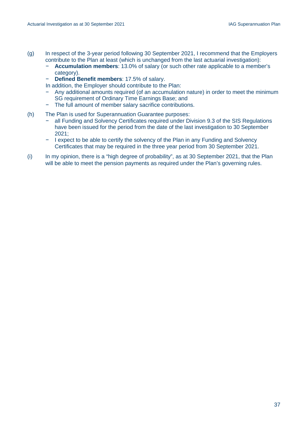- (g) In respect of the 3-year period following 30 September 2021, I recommend that the Employers contribute to the Plan at least (which is unchanged from the last actuarial investigation):
	- − **Accumulation members**: 13.0% of salary (or such other rate applicable to a member's category).
	- − **Defined Benefit members**: 17.5% of salary.
	- In addition, the Employer should contribute to the Plan:
	- − Any additional amounts required (of an accumulation nature) in order to meet the minimum SG requirement of Ordinary Time Earnings Base; and
	- − The full amount of member salary sacrifice contributions.
- (h) The Plan is used for Superannuation Guarantee purposes:
	- − all Funding and Solvency Certificates required under Division 9.3 of the SIS Regulations have been issued for the period from the date of the last investigation to 30 September 2021;
	- − I expect to be able to certify the solvency of the Plan in any Funding and Solvency Certificates that may be required in the three year period from 30 September 2021.
- (i) In my opinion, there is a "high degree of probability", as at 30 September 2021, that the Plan will be able to meet the pension payments as required under the Plan's governing rules.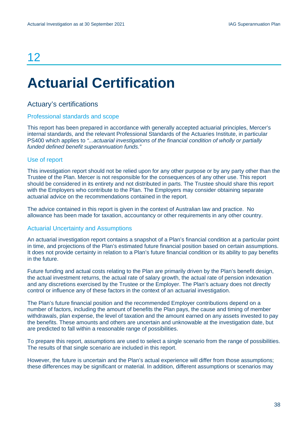## 12

# <span id="page-39-0"></span>**Actuarial Certification**

## Actuary's certifications

#### Professional standards and scope

This report has been prepared in accordance with generally accepted actuarial principles, Mercer's internal standards, and the relevant Professional Standards of the Actuaries Institute, in particular PS400 which applies to *"...actuarial investigations of the financial condition of wholly or partially funded defined benefit superannuation funds."*

#### Use of report

This investigation report should not be relied upon for any other purpose or by any party other than the Trustee of the Plan. Mercer is not responsible for the consequences of any other use. This report should be considered in its entirety and not distributed in parts. The Trustee should share this report with the Employers who contribute to the Plan. The Employers may consider obtaining separate actuarial advice on the recommendations contained in the report.

The advice contained in this report is given in the context of Australian law and practice. No allowance has been made for taxation, accountancy or other requirements in any other country.

#### Actuarial Uncertainty and Assumptions

An actuarial investigation report contains a snapshot of a Plan's financial condition at a particular point in time, and projections of the Plan's estimated future financial position based on certain assumptions. It does not provide certainty in relation to a Plan's future financial condition or its ability to pay benefits in the future.

Future funding and actual costs relating to the Plan are primarily driven by the Plan's benefit design, the actual investment returns, the actual rate of salary growth, the actual rate of pension indexation and any discretions exercised by the Trustee or the Employer. The Plan's actuary does not directly control or influence any of these factors in the context of an actuarial investigation.

The Plan's future financial position and the recommended Employer contributions depend on a number of factors, including the amount of benefits the Plan pays, the cause and timing of member withdrawals, plan expense, the level of taxation and the amount earned on any assets invested to pay the benefits. These amounts and others are uncertain and unknowable at the investigation date, but are predicted to fall within a reasonable range of possibilities.

To prepare this report, assumptions are used to select a single scenario from the range of possibilities. The results of that single scenario are included in this report.

However, the future is uncertain and the Plan's actual experience will differ from those assumptions; these differences may be significant or material. In addition, different assumptions or scenarios may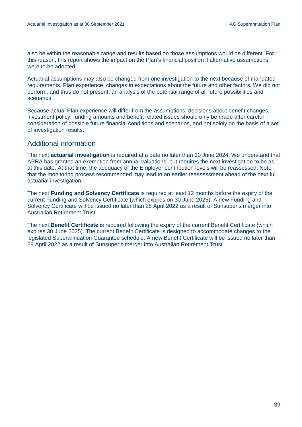also be within the reasonable range and results based on those assumptions would be different. For this reason, this report shows the impact on the Plan's financial position if alternative assumptions were to be adopted.

Actuarial assumptions may also be changed from one investigation to the next because of mandated requirements, Plan experience, changes in expectations about the future and other factors. We did not perform, and thus do not present, an analysis of the potential range of all future possibilities and scenarios.

Because actual Plan experience will differ from the assumptions, decisions about benefit changes, investment policy, funding amounts and benefit related issues should only be made after careful consideration of possible future financial conditions and scenarios, and not solely on the basis of a set of investigation results.

### Additional information

The next **actuarial investigation** is required at a date no later than 30 June 2024. We understand that APRA has granted an exemption from annual valuations, but requires the next investigation to be as at this date. At that time, the adequacy of the Employer contribution levels will be reassessed. Note that the monitoring process recommended may lead to an earlier reassessment ahead of the next full actuarial investigation.

The next **Funding and Solvency Certificate** is required at least 12 months before the expiry of the current Funding and Solvency Certificate (which expires on 30 June 2025). A new Funding and Solvency Certificate will be issued no later than 28 April 2022 as a result of Sunsuper's merger into Australian Retirement Trust.

The next **Benefit Certificate** is required following the expiry of the current Benefit Certificate (which expires 30 June 2025). The current Benefit Certificate is designed to accommodate changes to the legislated Superannuation Guarantee schedule. A new Benefit Certificate will be issued no later than 28 April 2022 as a result of Sunsuper's merger into Australian Retirement Trust.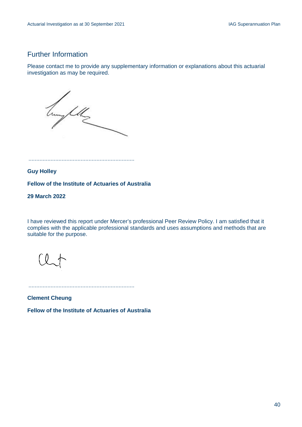## Further Information

Please contact me to provide any supplementary information or explanations about this actuarial investigation as may be required.

hung fellz

...................................................................

**Guy Holley**

**Fellow of the Institute of Actuaries of Australia**

**29 March 2022**

I have reviewed this report under Mercer's professional Peer Review Policy. I am satisfied that it complies with the applicable professional standards and uses assumptions and methods that are suitable for the purpose.

...................................................................

**Clement Cheung**

**Fellow of the Institute of Actuaries of Australia**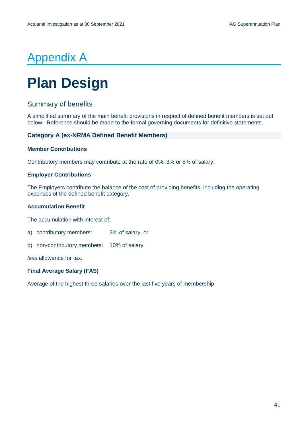## Appendix A

# <span id="page-42-0"></span>**Plan Design**

## Summary of benefits

A simplified summary of the main benefit provisions in respect of defined benefit members is set out below. Reference should be made to the formal governing documents for definitive statements.

#### **Category A (ex-NRMA Defined Benefit Members)**

#### **Member Contributions**

Contributory members may contribute at the rate of 0%, 3% or 5% of salary.

#### **Employer Contributions**

The Employers contribute the balance of the cost of providing benefits, including the operating expenses of the defined benefit category.

#### **Accumulation Benefit**

The accumulation with interest of:

a) contributory members: 3% of salary, or

b) non-contributory members: 10% of salary

*less* allowance for tax.

#### **Final Average Salary (FAS)**

Average of the highest three salaries over the last five years of membership.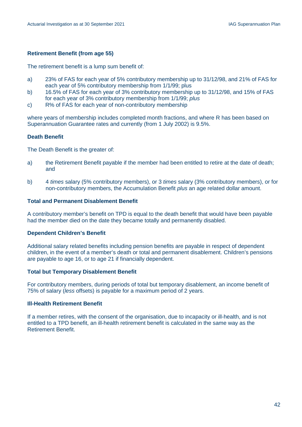#### **Retirement Benefit (from age 55)**

The retirement benefit is a lump sum benefit of:

- a) 23% of FAS for each year of 5% contributory membership up to 31/12/98, and 21% of FAS for each year of 5% contributory membership from 1/1/99; plus
- b) 16.5% of FAS for each year of 3% contributory membership up to 31/12/98, and 15% of FAS for each year of 3% contributory membership from 1/1/99; *plus*
- c) R% of FAS for each year of non-contributory membership

where years of membership includes completed month fractions, and where R has been based on Superannuation Guarantee rates and currently (from 1 July 2002) is 9.5%.

#### **Death Benefit**

The Death Benefit is the greater of:

- a) the Retirement Benefit payable if the member had been entitled to retire at the date of death; and
- b) 4 *times* salary (5% contributory members), or 3 *times* salary (3% contributory members), or for non-contributory members, the Accumulation Benefit *plus* an age related dollar amount.

#### **Total and Permanent Disablement Benefit**

A contributory member's benefit on TPD is equal to the death benefit that would have been payable had the member died on the date they became totally and permanently disabled.

#### **Dependent Children's Benefit**

Additional salary related benefits including pension benefits are payable in respect of dependent children, in the event of a member's death or total and permanent disablement. Children's pensions are payable to age 16, or to age 21 if financially dependent.

#### **Total but Temporary Disablement Benefit**

For contributory members, during periods of total but temporary disablement, an income benefit of 75% of salary (*less* offsets) is payable for a maximum period of 2 years.

#### **Ill-Health Retirement Benefit**

If a member retires, with the consent of the organisation, due to incapacity or ill-health, and is not entitled to a TPD benefit, an ill-health retirement benefit is calculated in the same way as the Retirement Benefit.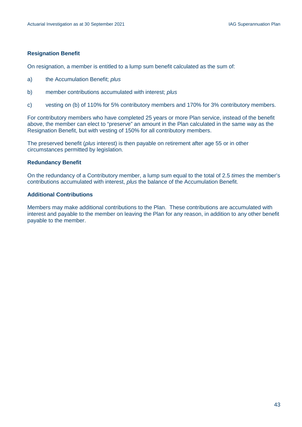#### **Resignation Benefit**

On resignation, a member is entitled to a lump sum benefit calculated as the sum of:

- a) the Accumulation Benefit; *plus*
- b) member contributions accumulated with interest; *plus*
- c) vesting on (b) of 110% for 5% contributory members and 170% for 3% contributory members.

For contributory members who have completed 25 years or more Plan service, instead of the benefit above, the member can elect to "preserve" an amount in the Plan calculated in the same way as the Resignation Benefit, but with vesting of 150% for all contributory members.

The preserved benefit (*plus* interest) is then payable on retirement after age 55 or in other circumstances permitted by legislation.

#### **Redundancy Benefit**

On the redundancy of a Contributory member, a lump sum equal to the total of 2.5 *times* the member's contributions accumulated with interest, *plus* the balance of the Accumulation Benefit.

#### **Additional Contributions**

Members may make additional contributions to the Plan. These contributions are accumulated with interest and payable to the member on leaving the Plan for any reason, in addition to any other benefit payable to the member.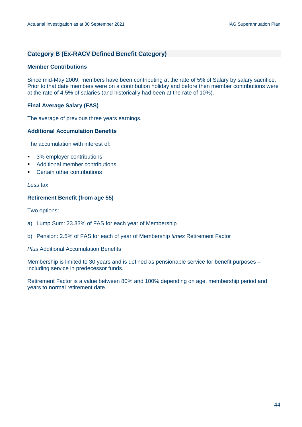#### **Category B (Ex-RACV Defined Benefit Category)**

#### **Member Contributions**

Since mid-May 2009, members have been contributing at the rate of 5% of Salary by salary sacrifice. Prior to that date members were on a contribution holiday and before then member contributions were at the rate of 4.5% of salaries (and historically had been at the rate of 10%).

#### **Final Average Salary (FAS)**

The average of previous three years earnings.

#### **Additional Accumulation Benefits**

The accumulation with interest of:

- 3% employer contributions
- **Additional member contributions**
- Certain other contributions

#### *Less* tax.

#### **Retirement Benefit (from age 55)**

Two options:

- a) Lump Sum: 23.33% of FAS for each year of Membership
- b) Pension: 2.5% of FAS for each of year of Membership *times* Retirement Factor

*Plus* Additional Accumulation Benefits

Membership is limited to 30 years and is defined as pensionable service for benefit purposes – including service in predecessor funds.

Retirement Factor is a value between 80% and 100% depending on age, membership period and years to normal retirement date.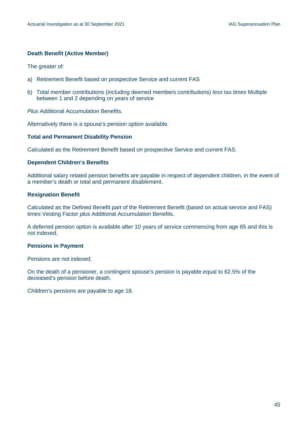#### **Death Benefit (Active Member)**

The greater of:

- a) Retirement Benefit based on prospective Service and current FAS
- b) Total member contributions (including deemed members contributions) *less* tax *times* Multiple between 1 and 2 depending on years of service

*Plus* Additional Accumulation Benefits.

Alternatively there is a spouse's pension option available.

#### **Total and Permanent Disability Pension**

Calculated as the Retirement Benefit based on prospective Service and current FAS.

#### **Dependent Children's Benefits**

Additional salary related pension benefits are payable in respect of dependent children, in the event of a member's death or total and permanent disablement.

#### **Resignation Benefit**

Calculated as the Defined Benefit part of the Retirement Benefit (based on actual service and FAS) *times* Vesting Factor *plus* Additional Accumulation Benefits.

A deferred pension option is available after 10 years of service commencing from age 65 and this is not indexed.

#### **Pensions in Payment**

Pensions are not indexed.

On the death of a pensioner, a contingent spouse's pension is payable equal to 62.5% of the deceased's pension before death.

Children's pensions are payable to age 18.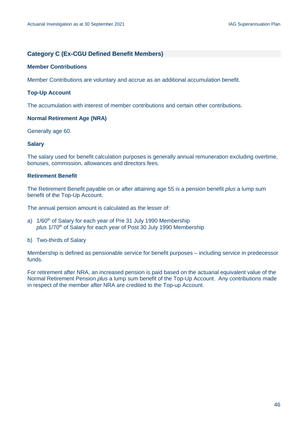#### **Category C (Ex-CGU Defined Benefit Members)**

#### **Member Contributions**

Member Contributions are voluntary and accrue as an additional accumulation benefit.

#### **Top-Up Account**

The accumulation with interest of member contributions and certain other contributions.

#### **Normal Retirement Age (NRA)**

Generally age 60.

#### **Salary**

The salary used for benefit calculation purposes is generally annual remuneration excluding overtime, bonuses, commission, allowances and directors fees.

#### **Retirement Benefit**

The Retirement Benefit payable on or after attaining age 55 is a pension benefit *plus* a lump sum benefit of the Top-Up Account.

The annual pension amount is calculated as the lesser of:

- a) 1/60<sup>th</sup> of Salary for each year of Pre 31 July 1990 Membership *plus* 1/70th of Salary for each year of Post 30 July 1990 Membership
- b) Two-thirds of Salary

Membership is defined as pensionable service for benefit purposes – including service in predecessor funds.

For retirement after NRA, an increased pension is paid based on the actuarial equivalent value of the Normal Retirement Pension *plus* a lump sum benefit of the Top-Up Account. Any contributions made in respect of the member after NRA are credited to the Top-up Account.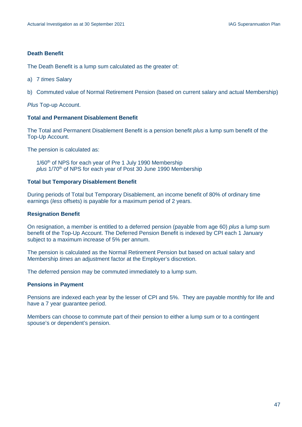#### **Death Benefit**

The Death Benefit is a lump sum calculated as the greater of:

- a) 7 *times* Salary
- b) Commuted value of Normal Retirement Pension (based on current salary and actual Membership)

*Plus* Top-up Account.

#### **Total and Permanent Disablement Benefit**

The Total and Permanent Disablement Benefit is a pension benefit *plus* a lump sum benefit of the Top-Up Account.

The pension is calculated as:

1/60<sup>th</sup> of NPS for each year of Pre 1 July 1990 Membership *plus* 1/70th of NPS for each year of Post 30 June 1990 Membership

#### **Total but Temporary Disablement Benefit**

During periods of Total but Temporary Disablement, an income benefit of 80% of ordinary time earnings (*less* offsets) is payable for a maximum period of 2 years.

#### **Resignation Benefit**

On resignation, a member is entitled to a deferred pension (payable from age 60) *plus* a lump sum benefit of the Top-Up Account. The Deferred Pension Benefit is indexed by CPI each 1 January subject to a maximum increase of 5% per annum.

The pension is calculated as the Normal Retirement Pension but based on actual salary and Membership *times* an adjustment factor at the Employer's discretion.

The deferred pension may be commuted immediately to a lump sum.

#### **Pensions in Payment**

Pensions are indexed each year by the lesser of CPI and 5%. They are payable monthly for life and have a 7 year guarantee period.

Members can choose to commute part of their pension to either a lump sum or to a contingent spouse's or dependent's pension.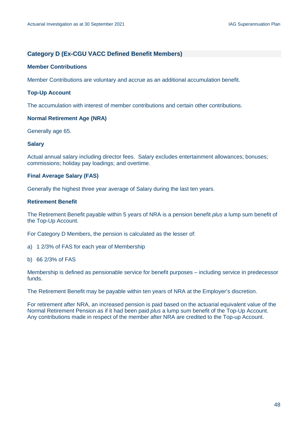#### **Category D (Ex-CGU VACC Defined Benefit Members)**

#### **Member Contributions**

Member Contributions are voluntary and accrue as an additional accumulation benefit.

#### **Top-Up Account**

The accumulation with interest of member contributions and certain other contributions.

#### **Normal Retirement Age (NRA)**

Generally age 65.

#### **Salary**

Actual annual salary including director fees. Salary excludes entertainment allowances; bonuses; commissions; holiday pay loadings; and overtime.

#### **Final Average Salary (FAS)**

Generally the highest three year average of Salary during the last ten years.

#### **Retirement Benefit**

The Retirement Benefit payable within 5 years of NRA is a pension benefit *plus* a lump sum benefit of the Top-Up Account.

For Category D Members, the pension is calculated as the lesser of:

- a) 1 2/3% of FAS for each year of Membership
- b) 66 2/3% of FAS

Membership is defined as pensionable service for benefit purposes – including service in predecessor funds.

The Retirement Benefit may be payable within ten years of NRA at the Employer's discretion.

For retirement after NRA, an increased pension is paid based on the actuarial equivalent value of the Normal Retirement Pension as if it had been paid *plus* a lump sum benefit of the Top-Up Account. Any contributions made in respect of the member after NRA are credited to the Top-up Account.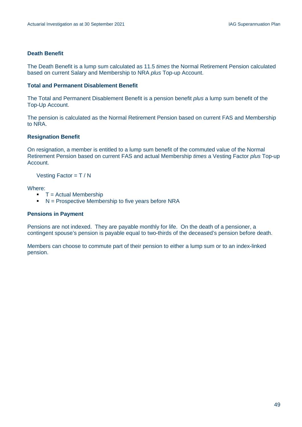#### **Death Benefit**

The Death Benefit is a lump sum calculated as 11.5 *times* the Normal Retirement Pension calculated based on current Salary and Membership to NRA *plus* Top-up Account.

#### **Total and Permanent Disablement Benefit**

The Total and Permanent Disablement Benefit is a pension benefit *plus* a lump sum benefit of the Top-Up Account.

The pension is calculated as the Normal Retirement Pension based on current FAS and Membership to NRA.

#### **Resignation Benefit**

On resignation, a member is entitled to a lump sum benefit of the commuted value of the Normal Retirement Pension based on current FAS and actual Membership *times* a Vesting Factor *plus* Top-up Account.

Vesting Factor = T / N

#### Where:

- $\blacksquare$  T = Actual Membership
- $N =$  Prospective Membership to five years before NRA

#### **Pensions in Payment**

Pensions are not indexed. They are payable monthly for life. On the death of a pensioner, a contingent spouse's pension is payable equal to two-thirds of the deceased's pension before death.

Members can choose to commute part of their pension to either a lump sum or to an index-linked pension.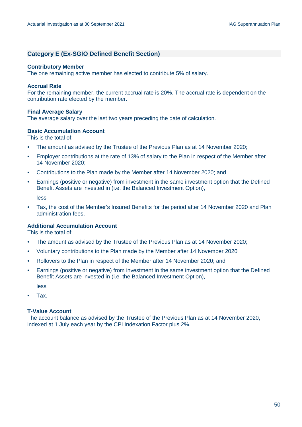#### **Category E (Ex-SGIO Defined Benefit Section)**

#### **Contributory Member**

The one remaining active member has elected to contribute 5% of salary.

#### **Accrual Rate**

For the remaining member, the current accrual rate is 20%. The accrual rate is dependent on the contribution rate elected by the member.

#### **Final Average Salary**

The average salary over the last two years preceding the date of calculation.

#### **Basic Accumulation Account**

This is the total of:

- The amount as advised by the Trustee of the Previous Plan as at 14 November 2020;
- Employer contributions at the rate of 13% of salary to the Plan in respect of the Member after 14 November 2020;
- Contributions to the Plan made by the Member after 14 November 2020; and
- Earnings (positive or negative) from investment in the same investment option that the Defined Benefit Assets are invested in (i.e. the Balanced Investment Option),

less

• Tax, the cost of the Member's Insured Benefits for the period after 14 November 2020 and Plan administration fees.

#### **Additional Accumulation Account**

This is the total of:

- The amount as advised by the Trustee of the Previous Plan as at 14 November 2020;
- Voluntary contributions to the Plan made by the Member after 14 November 2020
- Rollovers to the Plan in respect of the Member after 14 November 2020; and
- Earnings (positive or negative) from investment in the same investment option that the Defined Benefit Assets are invested in (i.e. the Balanced Investment Option),

less

• Tax.

#### **T-Value Account**

The account balance as advised by the Trustee of the Previous Plan as at 14 November 2020, indexed at 1 July each year by the CPI Indexation Factor plus 2%.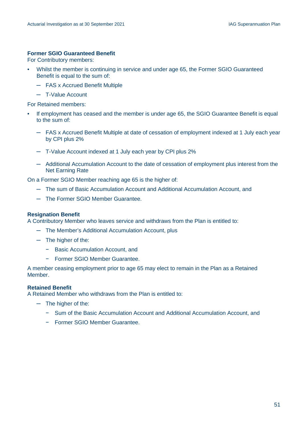#### **Former SGIO Guaranteed Benefit**

For Contributory members:

- Whilst the member is continuing in service and under age 65, the Former SGIO Guaranteed Benefit is equal to the sum of:
	- ─ FAS x Accrued Benefit Multiple
	- ─ T-Value Account

For Retained members:

- If employment has ceased and the member is under age 65, the SGIO Guarantee Benefit is equal to the sum of:
	- ─ FAS x Accrued Benefit Multiple at date of cessation of employment indexed at 1 July each year by CPI plus 2%
	- ─ T-Value Account indexed at 1 July each year by CPI plus 2%
	- ─ Additional Accumulation Account to the date of cessation of employment plus interest from the Net Earning Rate

On a Former SGIO Member reaching age 65 is the higher of:

- ─ The sum of Basic Accumulation Account and Additional Accumulation Account, and
- ─ The Former SGIO Member Guarantee.

#### **Resignation Benefit**

A Contributory Member who leaves service and withdraws from the Plan is entitled to:

- ─ The Member's Additional Accumulation Account, plus
- ─ The higher of the:
	- − Basic Accumulation Account, and
	- − Former SGIO Member Guarantee.

A member ceasing employment prior to age 65 may elect to remain in the Plan as a Retained Member.

#### **Retained Benefit**

A Retained Member who withdraws from the Plan is entitled to:

- ─ The higher of the:
	- − Sum of the Basic Accumulation Account and Additional Accumulation Account, and
	- − Former SGIO Member Guarantee.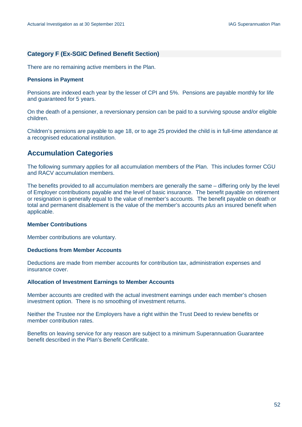#### **Category F (Ex-SGIC Defined Benefit Section)**

There are no remaining active members in the Plan.

#### **Pensions in Payment**

Pensions are indexed each year by the lesser of CPI and 5%. Pensions are payable monthly for life and guaranteed for 5 years.

On the death of a pensioner, a reversionary pension can be paid to a surviving spouse and/or eligible children.

Children's pensions are payable to age 18, or to age 25 provided the child is in full-time attendance at a recognised educational institution.

## **Accumulation Categories**

The following summary applies for all accumulation members of the Plan. This includes former CGU and RACV accumulation members.

The benefits provided to all accumulation members are generally the same – differing only by the level of Employer contributions payable and the level of basic insurance. The benefit payable on retirement or resignation is generally equal to the value of member's accounts. The benefit payable on death or total and permanent disablement is the value of the member's accounts *plus* an insured benefit when applicable.

#### **Member Contributions**

Member contributions are voluntary.

#### **Deductions from Member Accounts**

Deductions are made from member accounts for contribution tax, administration expenses and insurance cover.

#### **Allocation of Investment Earnings to Member Accounts**

Member accounts are credited with the actual investment earnings under each member's chosen investment option. There is no smoothing of investment returns.

Neither the Trustee nor the Employers have a right within the Trust Deed to review benefits or member contribution rates.

Benefits on leaving service for any reason are subject to a minimum Superannuation Guarantee benefit described in the Plan's Benefit Certificate.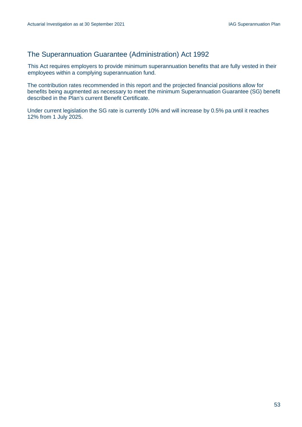## The Superannuation Guarantee (Administration) Act 1992

This Act requires employers to provide minimum superannuation benefits that are fully vested in their employees within a complying superannuation fund.

The contribution rates recommended in this report and the projected financial positions allow for benefits being augmented as necessary to meet the minimum Superannuation Guarantee (SG) benefit described in the Plan's current Benefit Certificate.

Under current legislation the SG rate is currently 10% and will increase by 0.5% pa until it reaches 12% from 1 July 2025.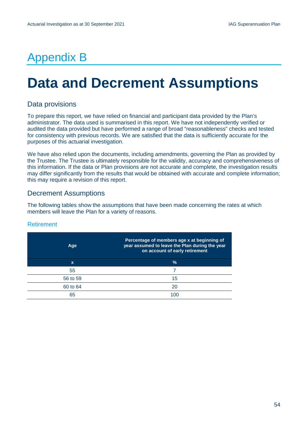## Appendix B

# <span id="page-55-0"></span>**Data and Decrement Assumptions**

## Data provisions

To prepare this report, we have relied on financial and participant data provided by the Plan's administrator. The data used is summarised in this report. We have not independently verified or audited the data provided but have performed a range of broad "reasonableness" checks and tested for consistency with previous records. We are satisfied that the data is sufficiently accurate for the purposes of this actuarial investigation.

We have also relied upon the documents, including amendments, governing the Plan as provided by the Trustee. The Trustee is ultimately responsible for the validity, accuracy and comprehensiveness of this information. If the data or Plan provisions are not accurate and complete, the investigation results may differ significantly from the results that would be obtained with accurate and complete information; this may require a revision of this report.

## Decrement Assumptions

The following tables show the assumptions that have been made concerning the rates at which members will leave the Plan for a variety of reasons.

#### Retirement

| Age      | Percentage of members age x at beginning of<br>year assumed to leave the Plan during the year<br>on account of early retirement |
|----------|---------------------------------------------------------------------------------------------------------------------------------|
| X        | $\frac{0}{0}$                                                                                                                   |
| 55       |                                                                                                                                 |
| 56 to 59 | 15                                                                                                                              |
| 60 to 64 | 20                                                                                                                              |
| 65       | 1በር                                                                                                                             |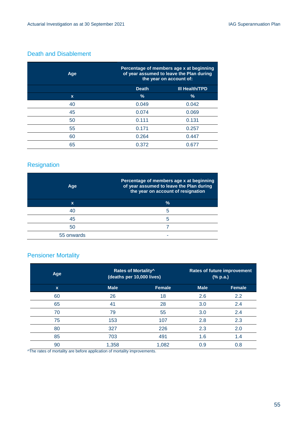### Death and Disablement

| Age         |              | Percentage of members age x at beginning<br>of year assumed to leave the Plan during<br>the year on account of: |  |
|-------------|--------------|-----------------------------------------------------------------------------------------------------------------|--|
|             | <b>Death</b> | <b>III Health/TPD</b>                                                                                           |  |
| $\mathbf x$ | $\%$         | $\%$                                                                                                            |  |
| 40          | 0.049        | 0.042                                                                                                           |  |
| 45          | 0.074        | 0.069                                                                                                           |  |
| 50          | 0.111        | 0.131                                                                                                           |  |
| 55          | 0.171        | 0.257                                                                                                           |  |
| 60          | 0.264        | 0.447                                                                                                           |  |
| 65          | 0.372        | 0.677                                                                                                           |  |

## Resignation

| Age        | Percentage of members age x at beginning<br>of year assumed to leave the Plan during<br>the year on account of resignation |
|------------|----------------------------------------------------------------------------------------------------------------------------|
| x          | $\frac{0}{0}$                                                                                                              |
| 40         | 5                                                                                                                          |
| 45         | 5                                                                                                                          |
| 50         |                                                                                                                            |
| 55 onwards |                                                                                                                            |

## Pensioner Mortality

| Age         | Rates of Mortality <sup>^</sup><br>(deaths per 10,000 lives) |               | <b>Rates of future improvement</b><br>(% p.a.) |               |
|-------------|--------------------------------------------------------------|---------------|------------------------------------------------|---------------|
| $\mathbf x$ | <b>Male</b>                                                  | <b>Female</b> | <b>Male</b>                                    | <b>Female</b> |
| 60          | 26                                                           | 18            | 2.6                                            | 2.2           |
| 65          | 41                                                           | 28            | 3.0                                            | 2.4           |
| 70          | 79                                                           | 55            | 3.0                                            | 2.4           |
| 75          | 153                                                          | 107           | 2.8                                            | 2.3           |
| 80          | 327                                                          | 226           | 2.3                                            | 2.0           |
| 85          | 703                                                          | 491           | 1.6                                            | 1.4           |
| 90          | 1,358                                                        | 1,082         | 0.9                                            | 0.8           |

^The rates of mortality are before application of mortality improvements.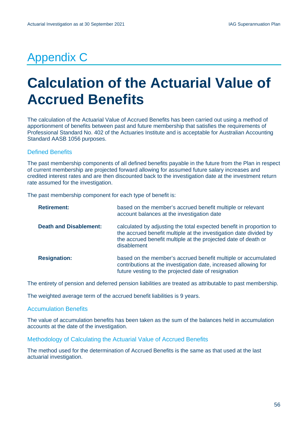## Appendix C

# <span id="page-57-0"></span>**Calculation of the Actuarial Value of Accrued Benefits**

The calculation of the Actuarial Value of Accrued Benefits has been carried out using a method of apportionment of benefits between past and future membership that satisfies the requirements of Professional Standard No. 402 of the Actuaries Institute and is acceptable for Australian Accounting Standard AASB 1056 purposes.

#### Defined Benefits

The past membership components of all defined benefits payable in the future from the Plan in respect of current membership are projected forward allowing for assumed future salary increases and credited interest rates and are then discounted back to the investigation date at the investment return rate assumed for the investigation.

The past membership component for each type of benefit is:

| <b>Retirement:</b>            | based on the member's accrued benefit multiple or relevant<br>account balances at the investigation date                                                                                                                  |
|-------------------------------|---------------------------------------------------------------------------------------------------------------------------------------------------------------------------------------------------------------------------|
| <b>Death and Disablement:</b> | calculated by adjusting the total expected benefit in proportion to<br>the accrued benefit multiple at the investigation date divided by<br>the accrued benefit multiple at the projected date of death or<br>disablement |
| <b>Resignation:</b>           | based on the member's accrued benefit multiple or accumulated<br>contributions at the investigation date, increased allowing for<br>future vesting to the projected date of resignation                                   |

The entirety of pension and deferred pension liabilities are treated as attributable to past membership.

The weighted average term of the accrued benefit liabilities is 9 years.

#### Accumulation Benefits

The value of accumulation benefits has been taken as the sum of the balances held in accumulation accounts at the date of the investigation.

Methodology of Calculating the Actuarial Value of Accrued Benefits

The method used for the determination of Accrued Benefits is the same as that used at the last actuarial investigation.